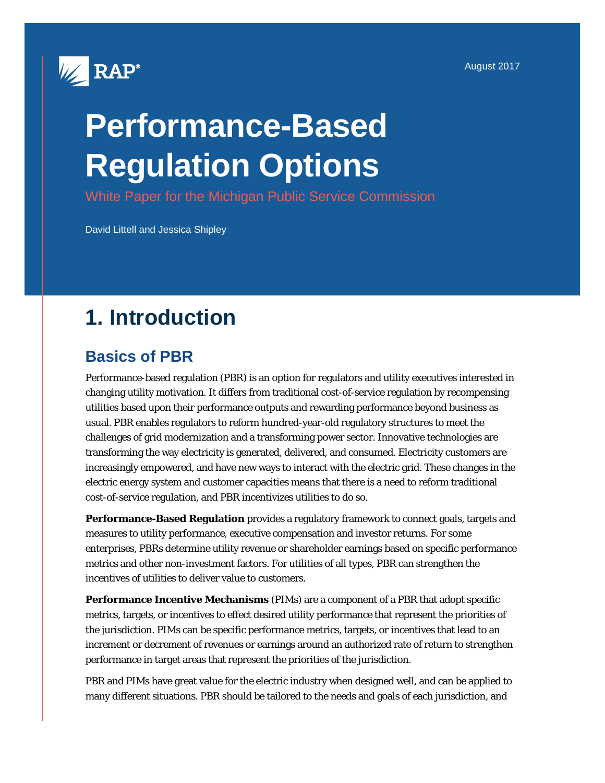

# **Performance-Based Regulation Options**

White Paper for the Michigan Public Service Commission

David Littell and Jessica Shipley

## **1. Introduction**

## **Basics of PBR**

Performance-based regulation (PBR) is an option for regulators and utility executives interested in changing utility motivation. It differs from traditional cost-of-service regulation by recompensing utilities based upon their performance outputs and rewarding performance beyond business as usual. PBR enables regulators to reform hundred-year-old regulatory structures to meet the challenges of grid modernization and a transforming power sector. Innovative technologies are transforming the way electricity is generated, delivered, and consumed. Electricity customers are increasingly empowered, and have new ways to interact with the electric grid. These changes in the electric energy system and customer capacities means that there is a need to reform traditional cost-of-service regulation, and PBR incentivizes utilities to do so.

**Performance-Based Regulation** provides a regulatory framework to connect goals, targets and measures to utility performance, executive compensation and investor returns. For some enterprises, PBRs determine utility revenue or shareholder earnings based on specific performance metrics and other non-investment factors. For utilities of all types, PBR can strengthen the incentives of utilities to deliver value to customers.

**Performance Incentive Mechanisms** (PIMs) are a component of a PBR that adopt specific metrics, targets, or incentives to effect desired utility performance that represent the priorities of the jurisdiction. PIMs can be specific performance metrics, targets, or incentives that lead to an increment or decrement of revenues or earnings around an authorized rate of return to strengthen performance in target areas that represent the priorities of the jurisdiction.

PBR and PIMs have great value for the electric industry when designed well, and can be applied to many different situations. PBR should be tailored to the needs and goals of each jurisdiction, and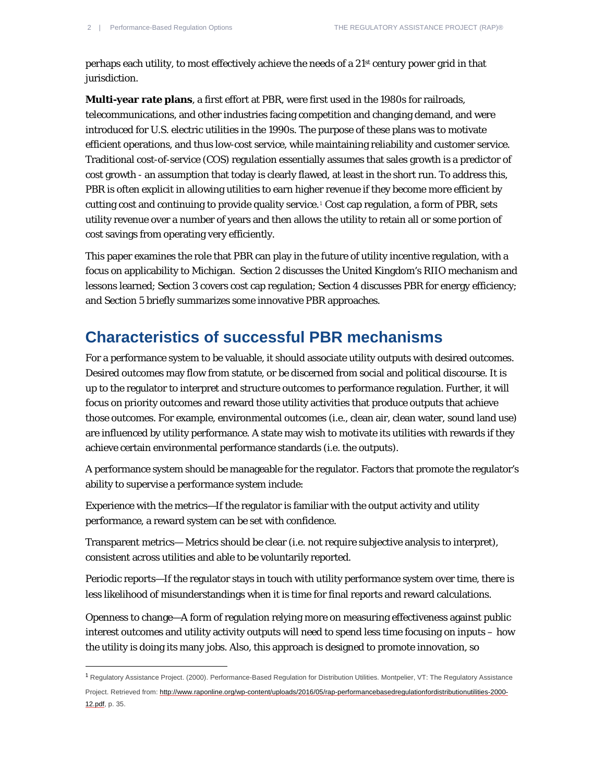$\overline{a}$ 

perhaps each utility, to most effectively achieve the needs of a 21st century power grid in that jurisdiction.

**Multi-year rate plans**, a first effort at PBR, were first used in the 1980s for railroads, telecommunications, and other industries facing competition and changing demand, and were introduced for U.S. electric utilities in the 1990s. The purpose of these plans was to motivate efficient operations, and thus low-cost service, while maintaining reliability and customer service. Traditional cost-of-service (COS) regulation essentially assumes that sales growth is a predictor of cost growth - an assumption that today is clearly flawed, at least in the short run. To address this, PBR is often explicit in allowing utilities to earn higher revenue if they become more efficient by cutting cost and continuing to provide quality service.[1](#page-1-0) Cost cap regulation, a form of PBR, sets utility revenue over a number of years and then allows the utility to retain all or some portion of cost savings from operating very efficiently.

This paper examines the role that PBR can play in the future of utility incentive regulation, with a focus on applicability to Michigan. Section 2 discusses the United Kingdom's RIIO mechanism and lessons learned; Section 3 covers cost cap regulation; Section 4 discusses PBR for energy efficiency; and Section 5 briefly summarizes some innovative PBR approaches.

#### **Characteristics of successful PBR mechanisms**

For a performance system to be valuable, it should associate utility outputs with desired outcomes. Desired outcomes may flow from statute, or be discerned from social and political discourse. It is up to the regulator to interpret and structure outcomes to performance regulation. Further, it will focus on priority outcomes and reward those utility activities that produce outputs that achieve those outcomes. For example, environmental outcomes (i.e., clean air, clean water, sound land use) are influenced by utility performance. A state may wish to motivate its utilities with rewards if they achieve certain environmental performance standards (i.e. the outputs).

A performance system should be manageable for the regulator. Factors that promote the regulator's ability to supervise a performance system include:

Experience with the metrics—If the regulator is familiar with the output activity and utility performance, a reward system can be set with confidence.

Transparent metrics— Metrics should be clear (i.e. not require subjective analysis to interpret), consistent across utilities and able to be voluntarily reported.

Periodic reports—If the regulator stays in touch with utility performance system over time, there is less likelihood of misunderstandings when it is time for final reports and reward calculations.

Openness to change—A form of regulation relying more on measuring effectiveness against public interest outcomes and utility activity outputs will need to spend less time focusing on inputs – how the utility is doing its many jobs. Also, this approach is designed to promote innovation, so

<span id="page-1-0"></span><sup>1</sup> Regulatory Assistance Project. (2000). Performance-Based Regulation for Distribution Utilities. Montpelier, VT: The Regulatory Assistance

Project. Retrieved from: [http://www.raponline.org/wp-content/uploads/2016/05/rap-performancebasedregulationfordistributionutilities-2000-](http://www.raponline.org/wp-content/uploads/2016/05/rap-performancebasedregulationfordistributionutilities-2000-12.pdf) [12.pdf,](http://www.raponline.org/wp-content/uploads/2016/05/rap-performancebasedregulationfordistributionutilities-2000-12.pdf) p. 35.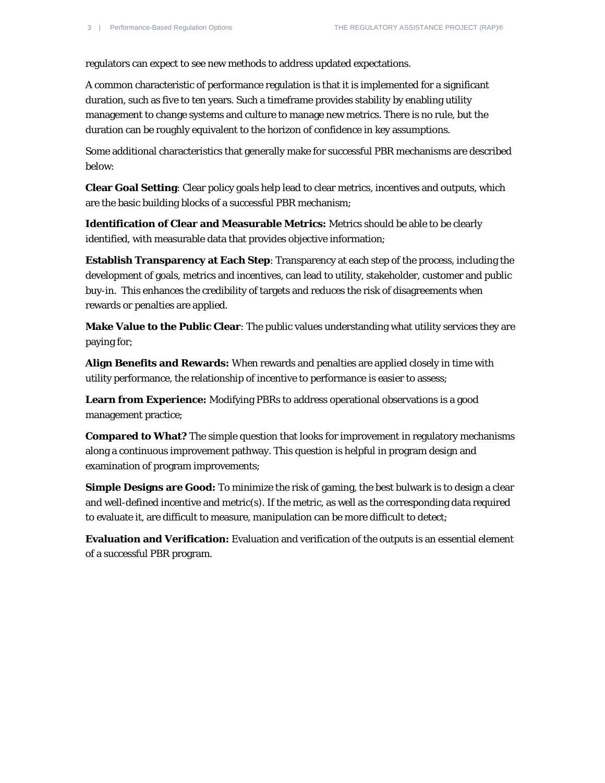regulators can expect to see new methods to address updated expectations.

A common characteristic of performance regulation is that it is implemented for a significant duration, such as five to ten years. Such a timeframe provides stability by enabling utility management to change systems and culture to manage new metrics. There is no rule, but the duration can be roughly equivalent to the horizon of confidence in key assumptions.

Some additional characteristics that generally make for successful PBR mechanisms are described below:

**Clear Goal Setting**: Clear policy goals help lead to clear metrics, incentives and outputs, which are the basic building blocks of a successful PBR mechanism;

**Identification of Clear and Measurable Metrics:** Metrics should be able to be clearly identified, with measurable data that provides objective information;

**Establish Transparency at Each Step**: Transparency at each step of the process, including the development of goals, metrics and incentives, can lead to utility, stakeholder, customer and public buy-in. This enhances the credibility of targets and reduces the risk of disagreements when rewards or penalties are applied.

**Make Value to the Public Clear**: The public values understanding what utility services they are paying for;

**Align Benefits and Rewards:** When rewards and penalties are applied closely in time with utility performance, the relationship of incentive to performance is easier to assess;

**Learn from Experience:** Modifying PBRs to address operational observations is a good management practice;

**Compared to What?** The simple question that looks for improvement in regulatory mechanisms along a continuous improvement pathway. This question is helpful in program design and examination of program improvements;

**Simple Designs are Good:** To minimize the risk of gaming, the best bulwark is to design a clear and well-defined incentive and metric(s). If the metric, as well as the corresponding data required to evaluate it, are difficult to measure, manipulation can be more difficult to detect;

**Evaluation and Verification:** Evaluation and verification of the outputs is an essential element of a successful PBR program.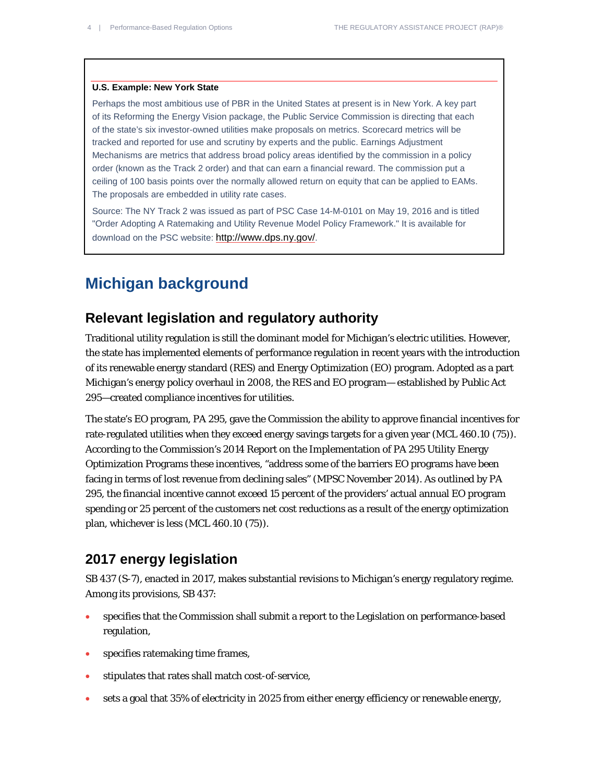#### **U.S. Example: New York State**

Perhaps the most ambitious use of PBR in the United States at present is in New York. A key part of its Reforming the Energy Vision package, the Public Service Commission is directing that each of the state's six investor-owned utilities make proposals on metrics. Scorecard metrics will be tracked and reported for use and scrutiny by experts and the public. Earnings Adjustment Mechanisms are metrics that address broad policy areas identified by the commission in a policy order (known as the Track 2 order) and that can earn a financial reward. The commission put a ceiling of 100 basis points over the normally allowed return on equity that can be applied to EAMs. The proposals are embedded in utility rate cases.

Source: The NY Track 2 was issued as part of PSC Case 14-M-0101 on May 19, 2016 and is titled "Order Adopting A Ratemaking and Utility Revenue Model Policy Framework." It is available for download on the PSC website[: http://www.dps.ny.gov/.](http://www.dps.ny.gov/)

#### **Michigan background**

#### **Relevant legislation and regulatory authority**

Traditional utility regulation is still the dominant model for Michigan's electric utilities. However, the state has implemented elements of performance regulation in recent years with the introduction of its renewable energy standard (RES) and Energy Optimization (EO) program. Adopted as a part Michigan's energy policy overhaul in 2008, the RES and EO program— established by Public Act 295—created compliance incentives for utilities.

The state's EO program, PA 295, gave the Commission the ability to approve financial incentives for rate-regulated utilities when they exceed energy savings targets for a given year (MCL 460.10 (75)). According to the Commission's 2014 Report on the Implementation of PA 295 Utility Energy Optimization Programs these incentives, "address some of the barriers EO programs have been facing in terms of lost revenue from declining sales" (MPSC November 2014). As outlined by PA 295, the financial incentive cannot exceed 15 percent of the providers' actual annual EO program spending or 25 percent of the customers net cost reductions as a result of the energy optimization plan, whichever is less (MCL 460.10 (75)).

#### **2017 energy legislation**

SB 437 (S-7), enacted in 2017, makes substantial revisions to Michigan's energy regulatory regime. Among its provisions, SB 437:

- specifies that the Commission shall submit a report to the Legislation on performance-based regulation,
- specifies ratemaking time frames,
- stipulates that rates shall match cost-of-service,
- sets a goal that 35% of electricity in 2025 from either energy efficiency or renewable energy,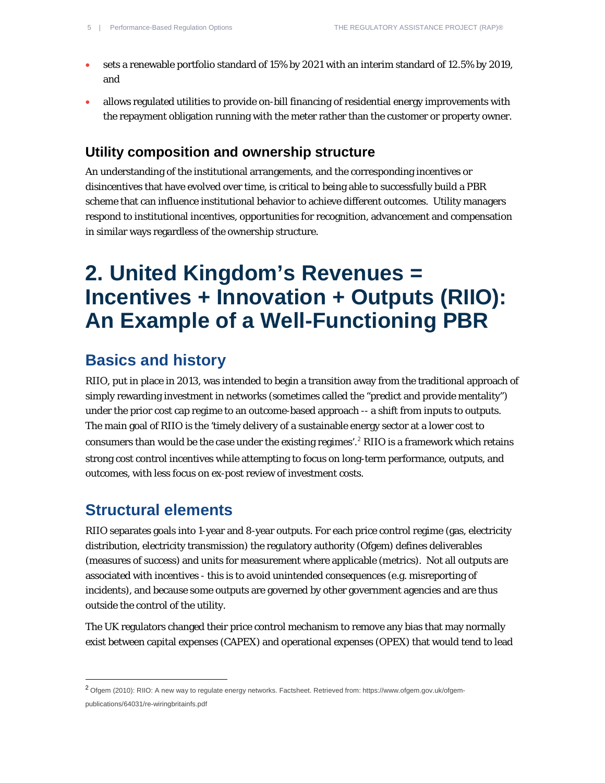- sets a renewable portfolio standard of 15% by 2021 with an interim standard of 12.5% by 2019, and
- allows regulated utilities to provide on-bill financing of residential energy improvements with the repayment obligation running with the meter rather than the customer or property owner.

#### **Utility composition and ownership structure**

An understanding of the institutional arrangements, and the corresponding incentives or disincentives that have evolved over time, is critical to being able to successfully build a PBR scheme that can influence institutional behavior to achieve different outcomes. Utility managers respond to institutional incentives, opportunities for recognition, advancement and compensation in similar ways regardless of the ownership structure.

## **2. United Kingdom's Revenues = Incentives + Innovation + Outputs (RIIO): An Example of a Well-Functioning PBR**

#### **Basics and history**

RIIO, put in place in 2013, was intended to begin a transition away from the traditional approach of simply rewarding investment in networks (sometimes called the "predict and provide mentality") under the prior cost cap regime to an outcome-based approach -- a shift from inputs to outputs. The main goal of RIIO is the 'timely delivery of a sustainable energy sector at a lower cost to consumers than would be the case under the existing regimes'.<sup>[2](#page-4-0)</sup> RIIO is a framework which retains strong cost control incentives while attempting to focus on long-term performance, outputs, and outcomes, with less focus on *ex-post* review of investment costs.

#### **Structural elements**

 $\overline{a}$ 

RIIO separates goals into 1-year and 8-year outputs. For each price control regime (gas, electricity distribution, electricity transmission) the regulatory authority (Ofgem) defines deliverables (measures of success) and units for measurement where applicable (metrics). Not all outputs are associated with incentives - this is to avoid unintended consequences (e.g. misreporting of incidents), and because some outputs are governed by other government agencies and are thus outside the control of the utility.

The UK regulators changed their price control mechanism to remove any bias that may normally exist between capital expenses (CAPEX) and operational expenses (OPEX) that would tend to lead

<span id="page-4-0"></span><sup>2</sup> Ofgem (2010): RIIO: A new way to regulate energy networks. Factsheet. Retrieved from: [https://www.ofgem.gov.uk/ofgem](https://www.ofgem.gov.uk/ofgem-publications/64031/re-wiringbritainfs.pdf)[publications/64031/re-wiringbritainfs.pdf](https://www.ofgem.gov.uk/ofgem-publications/64031/re-wiringbritainfs.pdf)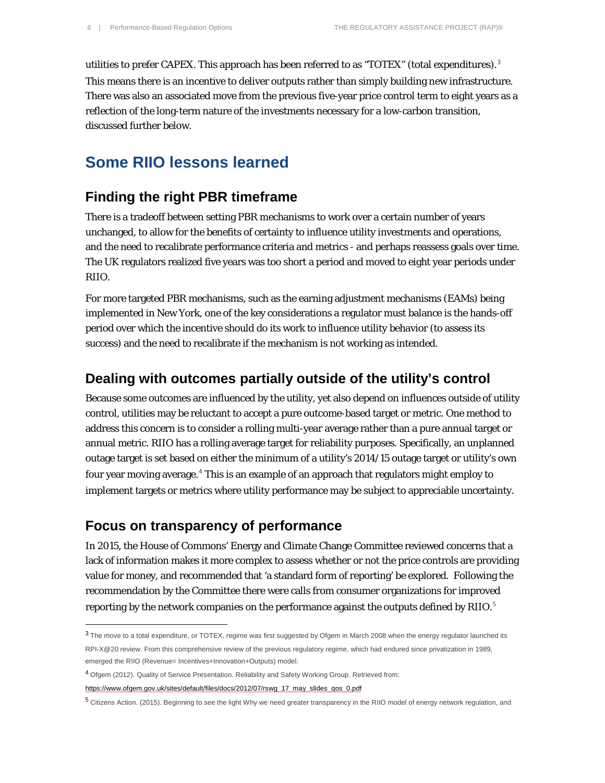utilities to prefer CAPEX. This approach has been referred to as "TOTEX" (total expenditures).<sup>[3](#page-5-0)</sup> This means there is an incentive to deliver outputs rather than simply building new infrastructure. There was also an associated move from the previous five-year price control term to eight years as a reflection of the long-term nature of the investments necessary for a low-carbon transition, discussed further below.

#### **Some RIIO lessons learned**

#### **Finding the right PBR timeframe**

There is a tradeoff between setting PBR mechanisms to work over a certain number of years unchanged, to allow for the benefits of certainty to influence utility investments and operations, and the need to recalibrate performance criteria and metrics - and perhaps reassess goals over time. The UK regulators realized five years was too short a period and moved to eight year periods under RIIO.

For more targeted PBR mechanisms, such as the earning adjustment mechanisms (EAMs) being implemented in New York, one of the key considerations a regulator must balance is the hands-off period over which the incentive should do its work to influence utility behavior (to assess its success) and the need to recalibrate if the mechanism is not working as intended.

#### **Dealing with outcomes partially outside of the utility's control**

Because some outcomes are influenced by the utility, yet also depend on influences outside of utility control, utilities may be reluctant to accept a pure outcome-based target or metric. One method to address this concern is to consider a rolling multi-year average rather than a pure annual target or annual metric. RIIO has a rolling average target for reliability purposes. Specifically, an unplanned outage target is set based on either the minimum of a utility's 2014/15 outage target or utility's own four year moving average.[4](#page-5-1) This is an example of an approach that regulators might employ to implement targets or metrics where utility performance may be subject to appreciable uncertainty.

#### **Focus on transparency of performance**

1

In 2015, the House of Commons' Energy and Climate Change Committee reviewed concerns that a lack of information makes it more complex to assess whether or not the price controls are providing value for money, and recommended that 'a standard form of reporting' be explored. Following the recommendation by the Committee there were calls from consumer organizations for improved reporting by the network companies on the performance against the outputs defined by RIIO. $^5$  $^5$ 

<span id="page-5-0"></span><sup>3</sup> The move to a total expenditure, or TOTEX, regime was first suggested by Ofgem in March 2008 when the energy regulator launched its RPI-X@20 review. From this comprehensive review of the previous regulatory regime, which had endured since privatization in 1989, emerged the RIIO (Revenue= Incentives+Innovation+Outputs) model.

<span id="page-5-1"></span><sup>4</sup> Ofgem (2012). Quality of Service Presentation. Reliability and Safety Working Group. Retrieved from:

[https://www.ofgem.gov.uk/sites/default/files/docs/2012/07/rswg\\_17\\_may\\_slides\\_qos\\_0.pdf](https://www.ofgem.gov.uk/sites/default/files/docs/2012/07/rswg_17_may_slides_qos_0.pdf)

<span id="page-5-2"></span><sup>5</sup> Citizens Action. (2015). Beginning to see the light Why we need greater transparency in the RIIO model of energy network regulation, and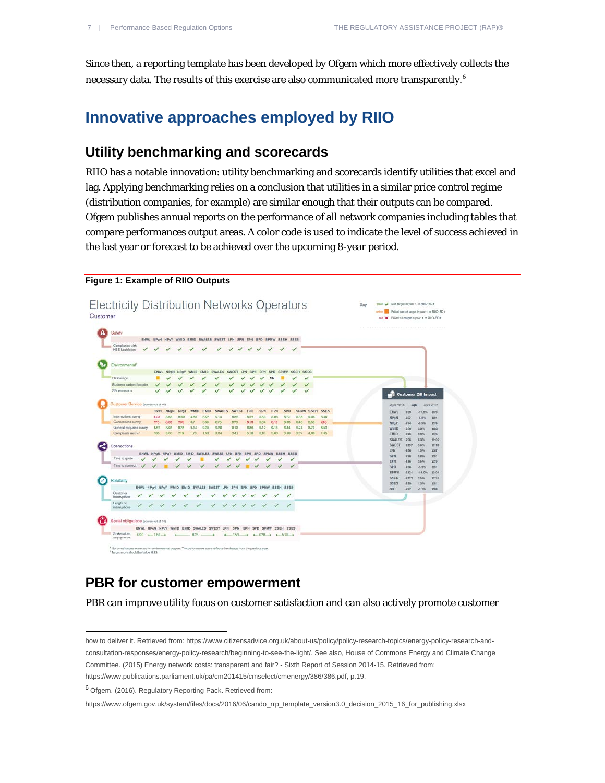Since then, a reporting template has been developed by Ofgem which more effectively collects the necessary data. The results of this exercise are also communicated more transparently.<sup>[6](#page-6-0)</sup>

#### **Innovative approaches employed by RIIO**

#### **Utility benchmarking and scorecards**

RIIO has a notable innovation: utility benchmarking and scorecards identify utilities that excel and lag. Applying benchmarking relies on a conclusion that utilities in a similar price control regime (distribution companies, for example) are similar enough that their outputs can be compared. Ofgem publishes annual reports on the performance of all network companies including tables that compare performances output areas. A color code is used to indicate the level of success achieved in the last year or forecast to be achieved over the upcoming 8-year period.

#### **Figure 1: Example of RIIO Outputs**



#### **PBR for customer empowerment**

PBR can improve utility focus on customer satisfaction and can also actively promote customer

[https://www.publications.parliament.uk/pa/cm201415/cmselect/cmenergy/386/386.pdf,](https://www.publications.parliament.uk/pa/cm201415/cmselect/cmenergy/386/386.pdf) p.19.

<span id="page-6-0"></span><sup>6</sup> Ofgem. (2016). Regulatory Reporting Pack. Retrieved from:

 $\overline{a}$ 

how to deliver it. Retrieved from[: https://www.citizensadvice.org.uk/about-us/policy/policy-research-topics/energy-policy-research-and](https://www.citizensadvice.org.uk/about-us/policy/policy-research-topics/energy-policy-research-and-consultation-responses/energy-policy-research/beginning-to-see-the-light/)[consultation-responses/energy-policy-research/beginning-to-see-the-light/.](https://www.citizensadvice.org.uk/about-us/policy/policy-research-topics/energy-policy-research-and-consultation-responses/energy-policy-research/beginning-to-see-the-light/) See also, House of Commons Energy and Climate Change Committee. (2015) Energy network costs: transparent and fair? - Sixth Report of Session 2014-15. Retrieved from:

[https://www.ofgem.gov.uk/system/files/docs/2016/06/cando\\_rrp\\_template\\_version3.0\\_decision\\_2015\\_16\\_for\\_publishing.xlsx](https://www.ofgem.gov.uk/system/files/docs/2016/06/cando_rrp_template_version3.0_decision_2015_16_for_publishing.xlsx)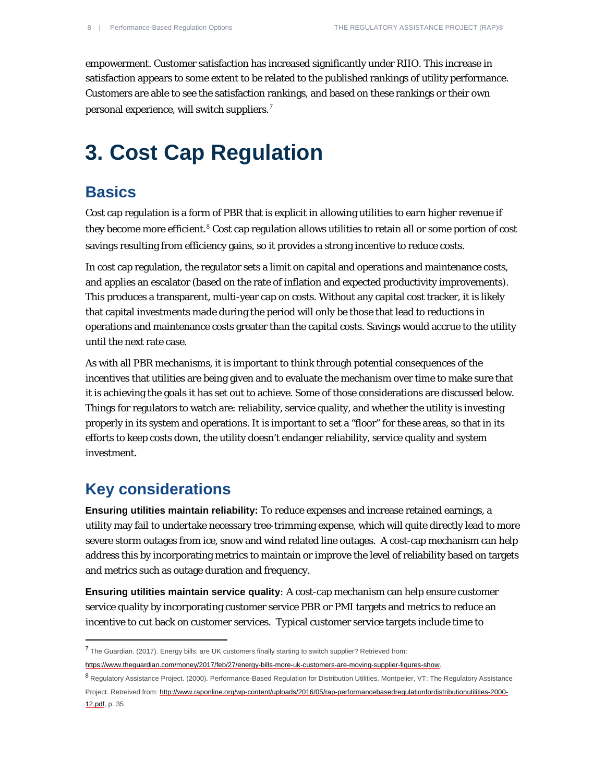empowerment. Customer satisfaction has increased significantly under RIIO. This increase in satisfaction appears to some extent to be related to the published rankings of utility performance. Customers are able to see the satisfaction rankings, and based on these rankings or their own personal experience, will switch suppliers.[7](#page-7-0)

## **3. Cost Cap Regulation**

#### **Basics**

Cost cap regulation is a form of PBR that is explicit in allowing utilities to earn higher revenue if they become more efficient. [8](#page-7-1) Cost cap regulation allows utilities to retain all or some portion of cost savings resulting from efficiency gains, so it provides a strong incentive to reduce costs.

In cost cap regulation, the regulator sets a limit on capital and operations and maintenance costs, and applies an escalator (based on the rate of inflation and expected productivity improvements). This produces a transparent, multi-year cap on costs. Without any capital cost tracker, it is likely that capital investments made during the period will only be those that lead to reductions in operations and maintenance costs greater than the capital costs. Savings would accrue to the utility until the next rate case.

As with all PBR mechanisms, it is important to think through potential consequences of the incentives that utilities are being given and to evaluate the mechanism over time to make sure that it is achieving the goals it has set out to achieve. Some of those considerations are discussed below. Things for regulators to watch are: reliability, service quality, and whether the utility is investing properly in its system and operations. It is important to set a "floor" for these areas, so that in its efforts to keep costs down, the utility doesn't endanger reliability, service quality and system investment.

### **Key considerations**

 $\overline{a}$ 

**Ensuring utilities maintain reliability:** To reduce expenses and increase retained earnings, a utility may fail to undertake necessary tree-trimming expense, which will quite directly lead to more severe storm outages from ice, snow and wind related line outages. A cost-cap mechanism can help address this by incorporating metrics to maintain or improve the level of reliability based on targets and metrics such as outage duration and frequency.

**Ensuring utilities maintain service quality***:* A cost-cap mechanism can help ensure customer service quality by incorporating customer service PBR or PMI targets and metrics to reduce an incentive to cut back on customer services. Typical customer service targets include time to

<span id="page-7-0"></span><sup>7</sup> The Guardian. (2017). Energy bills: are UK customers finally starting to switch supplier? Retrieved from:

[https://www.theguardian.com/money/2017/feb/27/energy-bills-more-uk-customers-are-moving-supplier-figures-show.](https://www.theguardian.com/money/2017/feb/27/energy-bills-more-uk-customers-are-moving-supplier-figures-show)

<span id="page-7-1"></span><sup>8</sup> Regulatory Assistance Project. (2000). Performance-Based Regulation for Distribution Utilities. Montpelier, VT: The Regulatory Assistance Project. Retreived from: [http://www.raponline.org/wp-content/uploads/2016/05/rap-performancebasedregulationfordistributionutilities-2000-](http://www.raponline.org/wp-content/uploads/2016/05/rap-performancebasedregulationfordistributionutilities-2000-12.pdf) [12.pdf,](http://www.raponline.org/wp-content/uploads/2016/05/rap-performancebasedregulationfordistributionutilities-2000-12.pdf) p. 35.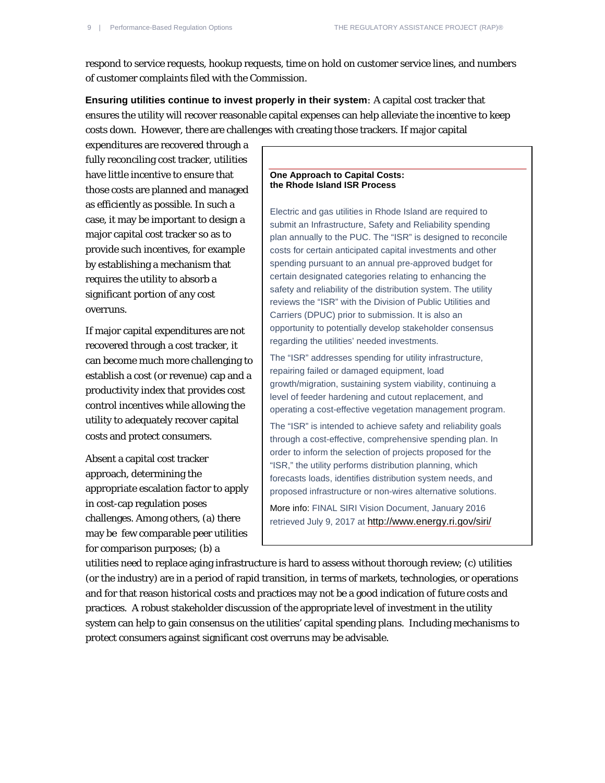respond to service requests, hookup requests, time on hold on customer service lines, and numbers of customer complaints filed with the Commission.

**Ensuring utilities continue to invest properly in their system***:* A capital cost tracker that ensures the utility will recover reasonable capital expenses can help alleviate the incentive to keep costs down. However, there are challenges with creating those trackers. If major capital

expenditures are recovered through a fully reconciling cost tracker, utilities have little incentive to ensure that those costs are planned and managed as efficiently as possible. In such a case, it may be important to design a major capital cost tracker so as to provide such incentives, for example by establishing a mechanism that requires the utility to absorb a significant portion of any cost overruns.

If major capital expenditures are not recovered through a cost tracker, it can become much more challenging to establish a cost (or revenue) cap and a productivity index that provides cost control incentives while allowing the utility to adequately recover capital costs and protect consumers.

Absent a capital cost tracker approach, determining the appropriate escalation factor to apply in cost-cap regulation poses challenges. Among others, (a) there may be few comparable peer utilities for comparison purposes; (b) a

#### **One Approach to Capital Costs: the Rhode Island ISR Process**

Electric and gas utilities in Rhode Island are required to submit an Infrastructure, Safety and Reliability spending plan annually to the PUC. The "ISR" is designed to reconcile costs for certain anticipated capital investments and other spending pursuant to an annual pre-approved budget for certain designated categories relating to enhancing the safety and reliability of the distribution system. The utility reviews the "ISR" with the Division of Public Utilities and Carriers (DPUC) prior to submission. It is also an opportunity to potentially develop stakeholder consensus regarding the utilities' needed investments.

The "ISR" addresses spending for utility infrastructure, repairing failed or damaged equipment, load growth/migration, sustaining system viability, continuing a level of feeder hardening and cutout replacement, and operating a cost-effective vegetation management program. The "ISR" is intended to achieve safety and reliability goals through a cost-effective, comprehensive spending plan. In order to inform the selection of projects proposed for the "ISR," the utility performs distribution planning, which forecasts loads, identifies distribution system needs, and proposed infrastructure or non-wires alternative solutions.

More info: FINAL SIRI Vision Document, January 2016 retrieved July 9, 2017 at<http://www.energy.ri.gov/siri/>

utilities need to replace aging infrastructure is hard to assess without thorough review; (c) utilities (or the industry) are in a period of rapid transition, in terms of markets, technologies, or operations and for that reason historical costs and practices may not be a good indication of future costs and practices. A robust stakeholder discussion of the appropriate level of investment in the utility system can help to gain consensus on the utilities' capital spending plans. Including mechanisms to protect consumers against significant cost overruns may be advisable.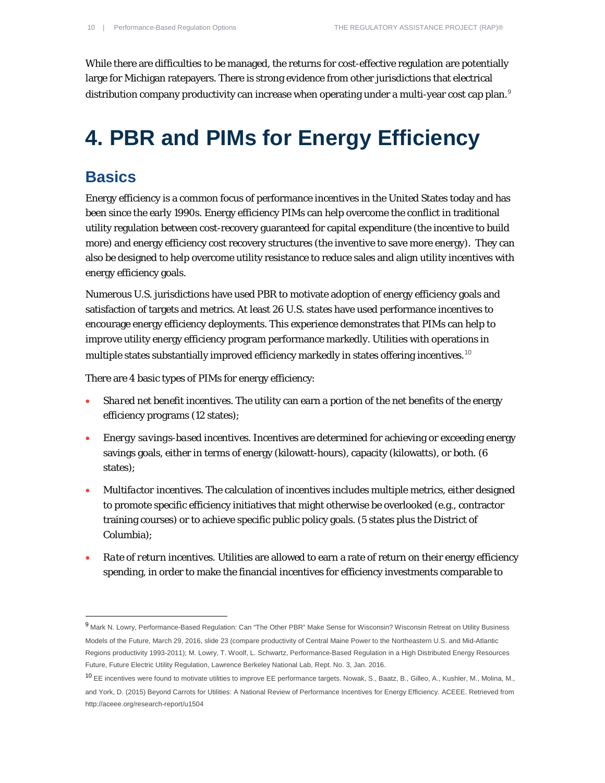While there are difficulties to be managed, the returns for cost-effective regulation are potentially large for Michigan ratepayers. There is strong evidence from other jurisdictions that electrical distribution company productivity can increase when operating under a multi-year cost cap plan.<sup>[9](#page-9-0)</sup>

## **4. PBR and PIMs for Energy Efficiency**

## **Basics**

1

<http://aceee.org/research-report/u1504>

Energy efficiency is a common focus of performance incentives in the United States today and has been since the early 1990s. Energy efficiency PIMs can help overcome the conflict in traditional utility regulation between cost-recovery guaranteed for capital expenditure (the incentive to build more) and energy efficiency cost recovery structures (the inventive to save more energy). They can also be designed to help overcome utility resistance to reduce sales and align utility incentives with energy efficiency goals.

Numerous U.S. jurisdictions have used PBR to motivate adoption of energy efficiency goals and satisfaction of targets and metrics. At least 26 U.S. states have used performance incentives to encourage energy efficiency deployments. This experience demonstrates that PIMs can help to improve utility energy efficiency program performance markedly. Utilities with operations in multiple states substantially improved efficiency markedly in states offering incentives.<sup>[10](#page-9-1)</sup>

There are 4 basic types of PIMs for energy efficiency:

- *Shared net benefit incentives*. The utility can earn a portion of the net benefits of the energy efficiency programs (12 states);
- *Energy savings-based incentives*. Incentives are determined for achieving or exceeding energy savings goals, either in terms of energy (kilowatt-hours), capacity (kilowatts), or both. (6 states)*;*
- *Multifactor incentives*. The calculation of incentives includes multiple metrics, either designed to promote specific efficiency initiatives that might otherwise be overlooked (e.g., contractor training courses) or to achieve specific public policy goals. (5 states plus the District of Columbia);
- *Rate of return incentives*. Utilities are allowed to earn a rate of return on their energy efficiency spending, in order to make the financial incentives for efficiency investments comparable to

<span id="page-9-0"></span><sup>9</sup> Mark N. Lowry, Performance-Based Regulation: Can "The Other PBR" Make Sense for Wisconsin? Wisconsin Retreat on Utility Business Models of the Future, March 29, 2016, slide 23 (compare productivity of Central Maine Power to the Northeastern U.S. and Mid-Atlantic Regions productivity 1993-2011); M. Lowry, T. Woolf, L. Schwartz, Performance-Based Regulation in a High Distributed Energy Resources Future, Future Electric Utility Regulation, Lawrence Berkeley National Lab, Rept. No. 3, Jan. 2016.

<span id="page-9-1"></span><sup>10</sup> EE incentives were found to motivate utilities to improve EE performance targets. Nowak, S., Baatz, B., Gilleo, A., Kushler, M., Molina, M., and York, D. (2015) Beyond Carrots for Utilities: A National Review of Performance Incentives for Energy Efficiency. ACEEE. Retrieved from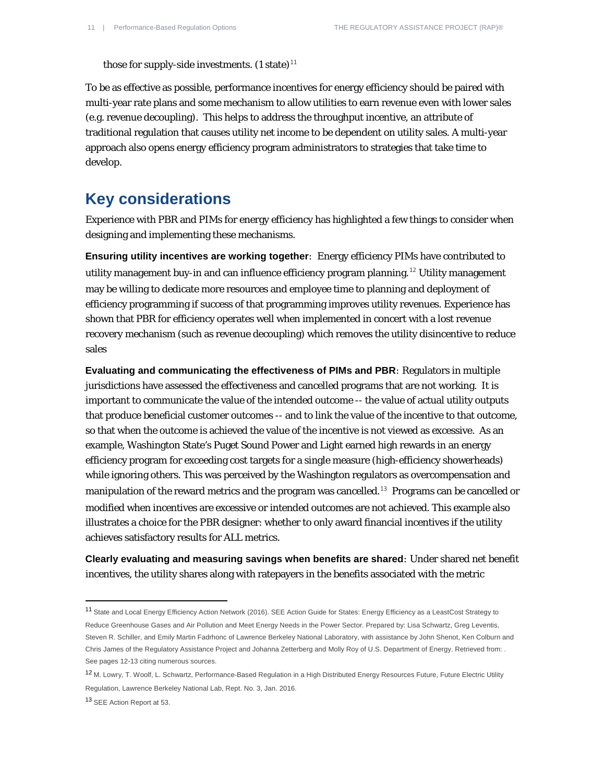those for supply-side investments.  $(1 \text{ state})^{11}$  $(1 \text{ state})^{11}$  $(1 \text{ state})^{11}$ 

To be as effective as possible, performance incentives for energy efficiency should be paired with multi-year rate plans and some mechanism to allow utilities to earn revenue even with lower sales (e.g. revenue decoupling). This helps to address the throughput incentive, an attribute of traditional regulation that causes utility net income to be dependent on utility sales. A multi-year approach also opens energy efficiency program administrators to strategies that take time to develop.

#### **Key considerations**

Experience with PBR and PIMs for energy efficiency has highlighted a few things to consider when designing and implementing these mechanisms.

**Ensuring utility incentives are working together***:* Energy efficiency PIMs have contributed to utility management buy-in and can influence efficiency program planning.<sup>[12](#page-10-1)</sup> Utility management may be willing to dedicate more resources and employee time to planning and deployment of efficiency programming if success of that programming improves utility revenues. Experience has shown that PBR for efficiency operates well when implemented in concert with a lost revenue recovery mechanism (such as revenue decoupling) which removes the utility disincentive to reduce sales

**Evaluating and communicating the effectiveness of PIMs and PBR***:* Regulators in multiple jurisdictions have assessed the effectiveness and cancelled programs that are not working. It is important to communicate the value of the intended outcome -- the value of actual utility outputs that produce beneficial customer outcomes -- and to link the value of the incentive to that outcome, so that when the outcome is achieved the value of the incentive is not viewed as excessive. As an example, Washington State's Puget Sound Power and Light earned high rewards in an energy efficiency program for exceeding cost targets for a single measure (high-efficiency showerheads) while ignoring others. This was perceived by the Washington regulators as overcompensation and manipulation of the reward metrics and the program was cancelled.<sup>[13](#page-10-2)</sup> Programs can be cancelled or modified when incentives are excessive or intended outcomes are not achieved. This example also illustrates a choice for the PBR designer: whether to only award financial incentives if the utility achieves satisfactory results for ALL metrics.

**Clearly evaluating and measuring savings when benefits are shared***:* Under shared net benefit incentives, the utility shares along with ratepayers in the benefits associated with the metric

<span id="page-10-0"></span><sup>11</sup> State and Local Energy Efficiency Action Network (2016). SEE Action Guide for States: Energy Efficiency as a LeastCost Strategy to Reduce Greenhouse Gases and Air Pollution and Meet Energy Needs in the Power Sector. Prepared by: Lisa Schwartz, Greg Leventis, Steven R. Schiller, and Emily Martin Fadrhonc of Lawrence Berkeley National Laboratory, with assistance by John Shenot, Ken Colburn and Chris James of the Regulatory Assistance Project and Johanna Zetterberg and Molly Roy of U.S. Department of Energy. Retrieved from: . See pages 12-13 citing numerous sources.

<span id="page-10-1"></span><sup>12</sup> M. Lowry, T. Woolf, L. Schwartz, Performance-Based Regulation in a High Distributed Energy Resources Future, Future Electric Utility Regulation, Lawrence Berkeley National Lab, Rept. No. 3, Jan. 2016.

<span id="page-10-2"></span><sup>13</sup> SEE Action Report at 53.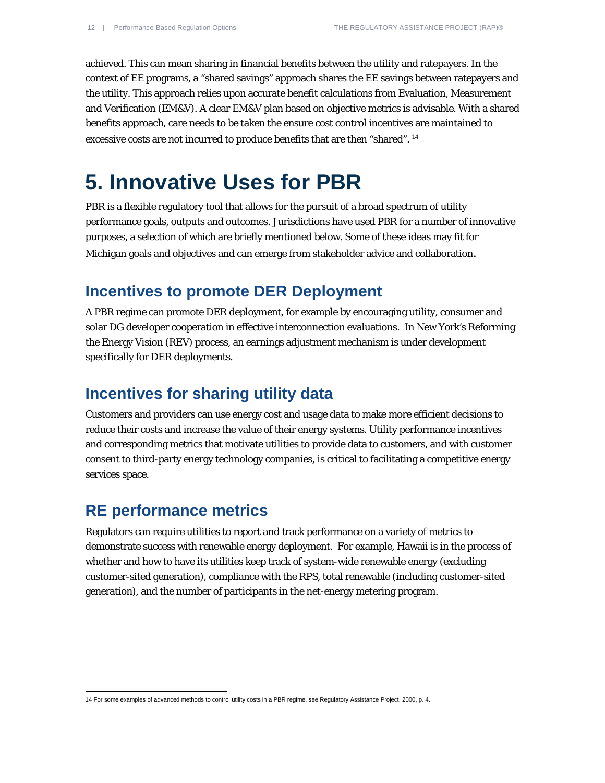achieved. This can mean sharing in financial benefits between the utility and ratepayers. In the context of EE programs, a "shared savings" approach shares the EE savings between ratepayers and the utility. This approach relies upon accurate benefit calculations from Evaluation, Measurement and Verification (EM&V). A clear EM&V plan based on objective metrics is advisable. With a shared benefits approach, care needs to be taken the ensure cost control incentives are maintained to excessive costs are not incurred to produce benefits that are then "shared". <sup>[14](#page-11-0)</sup>

## **5. Innovative Uses for PBR**

PBR is a flexible regulatory tool that allows for the pursuit of a broad spectrum of utility performance goals, outputs and outcomes. Jurisdictions have used PBR for a number of innovative purposes, a selection of which are briefly mentioned below. Some of these ideas may fit for Michigan goals and objectives and can emerge from stakeholder advice and collaboration.

#### **Incentives to promote DER Deployment**

A PBR regime can promote DER deployment, for example by encouraging utility, consumer and solar DG developer cooperation in effective interconnection evaluations. In New York's Reforming the Energy Vision (REV) process, an earnings adjustment mechanism is under development specifically for DER deployments.

#### **Incentives for sharing utility data**

Customers and providers can use energy cost and usage data to make more efficient decisions to reduce their costs and increase the value of their energy systems. Utility performance incentives and corresponding metrics that motivate utilities to provide data to customers, and with customer consent to third-party energy technology companies, is critical to facilitating a competitive energy services space.

#### **RE performance metrics**

Regulators can require utilities to report and track performance on a variety of metrics to demonstrate success with renewable energy deployment. For example, Hawaii is in the process of whether and how to have its utilities keep track of system-wide renewable energy (excluding customer-sited generation), compliance with the RPS, total renewable (including customer-sited generation), and the number of participants in the net-energy metering program.

<span id="page-11-0"></span>14 For some examples of advanced methods to control utility costs in a PBR regime, see Regulatory Assistance Project, 2000, p. 4.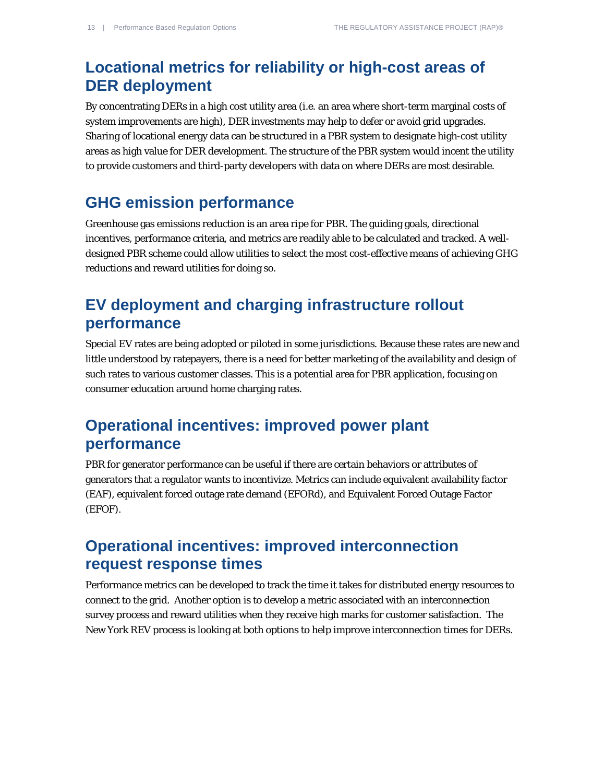## **Locational metrics for reliability or high-cost areas of DER deployment**

By concentrating DERs in a high cost utility area (i.e. an area where short-term marginal costs of system improvements are high), DER investments may help to defer or avoid grid upgrades. Sharing of locational energy data can be structured in a PBR system to designate high-cost utility areas as high value for DER development. The structure of the PBR system would incent the utility to provide customers and third-party developers with data on where DERs are most desirable.

#### **GHG emission performance**

Greenhouse gas emissions reduction is an area ripe for PBR. The guiding goals, directional incentives, performance criteria, and metrics are readily able to be calculated and tracked. A welldesigned PBR scheme could allow utilities to select the most cost-effective means of achieving GHG reductions and reward utilities for doing so.

## **EV deployment and charging infrastructure rollout performance**

Special EV rates are being adopted or piloted in some jurisdictions. Because these rates are new and little understood by ratepayers, there is a need for better marketing of the availability and design of such rates to various customer classes. This is a potential area for PBR application, focusing on consumer education around home charging rates.

## **Operational incentives: improved power plant performance**

PBR for generator performance can be useful if there are certain behaviors or attributes of generators that a regulator wants to incentivize. Metrics can include equivalent availability factor (EAF), equivalent forced outage rate demand (EFORd), and Equivalent Forced Outage Factor (EFOF).

### **Operational incentives: improved interconnection request response times**

Performance metrics can be developed to track the time it takes for distributed energy resources to connect to the grid. Another option is to develop a metric associated with an interconnection survey process and reward utilities when they receive high marks for customer satisfaction. The New York REV process is looking at both options to help improve interconnection times for DERs.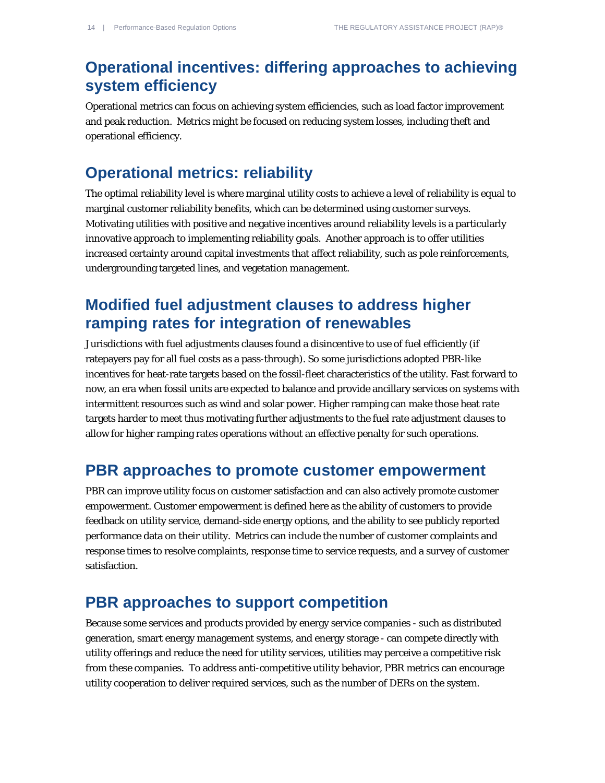## **Operational incentives: differing approaches to achieving system efficiency**

Operational metrics can focus on achieving system efficiencies, such as load factor improvement and peak reduction. Metrics might be focused on reducing system losses, including theft and operational efficiency.

#### **Operational metrics: reliability**

The optimal reliability level is where marginal utility costs to achieve a level of reliability is equal to marginal customer reliability benefits, which can be determined using customer surveys. Motivating utilities with positive and negative incentives around reliability levels is a particularly innovative approach to implementing reliability goals. Another approach is to offer utilities increased certainty around capital investments that affect reliability, such as pole reinforcements, undergrounding targeted lines, and vegetation management.

#### **Modified fuel adjustment clauses to address higher ramping rates for integration of renewables**

Jurisdictions with fuel adjustments clauses found a disincentive to use of fuel efficiently (if ratepayers pay for all fuel costs as a pass-through). So some jurisdictions adopted PBR-like incentives for heat-rate targets based on the fossil-fleet characteristics of the utility. Fast forward to now, an era when fossil units are expected to balance and provide ancillary services on systems with intermittent resources such as wind and solar power. Higher ramping can make those heat rate targets harder to meet thus motivating further adjustments to the fuel rate adjustment clauses to allow for higher ramping rates operations without an effective penalty for such operations.

#### **PBR approaches to promote customer empowerment**

PBR can improve utility focus on customer satisfaction and can also actively promote customer empowerment. Customer empowerment is defined here as the ability of customers to provide feedback on utility service, demand-side energy options, and the ability to see publicly reported performance data on their utility. Metrics can include the number of customer complaints and response times to resolve complaints, response time to service requests, and a survey of customer satisfaction.

#### **PBR approaches to support competition**

Because some services and products provided by energy service companies - such as distributed generation, smart energy management systems, and energy storage - can compete directly with utility offerings and reduce the need for utility services, utilities may perceive a competitive risk from these companies. To address anti-competitive utility behavior, PBR metrics can encourage utility cooperation to deliver required services, such as the number of DERs on the system.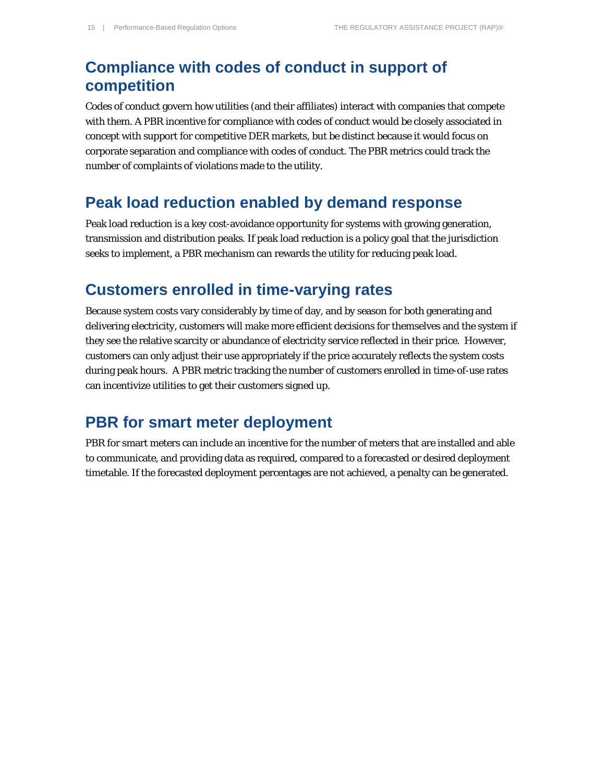## **Compliance with codes of conduct in support of competition**

Codes of conduct govern how utilities (and their affiliates) interact with companies that compete with them. A PBR incentive for compliance with codes of conduct would be closely associated in concept with support for competitive DER markets, but be distinct because it would focus on corporate separation and compliance with codes of conduct. The PBR metrics could track the number of complaints of violations made to the utility.

#### **Peak load reduction enabled by demand response**

Peak load reduction is a key cost-avoidance opportunity for systems with growing generation, transmission and distribution peaks. If peak load reduction is a policy goal that the jurisdiction seeks to implement, a PBR mechanism can rewards the utility for reducing peak load.

#### **Customers enrolled in time-varying rates**

Because system costs vary considerably by time of day, and by season for both generating and delivering electricity, customers will make more efficient decisions for themselves and the system if they see the relative scarcity or abundance of electricity service reflected in their price. However, customers can only adjust their use appropriately if the price accurately reflects the system costs during peak hours. A PBR metric tracking the number of customers enrolled in time-of-use rates can incentivize utilities to get their customers signed up.

#### **PBR for smart meter deployment**

PBR for smart meters can include an incentive for the number of meters that are installed and able to communicate, and providing data as required, compared to a forecasted or desired deployment timetable. If the forecasted deployment percentages are not achieved, a penalty can be generated.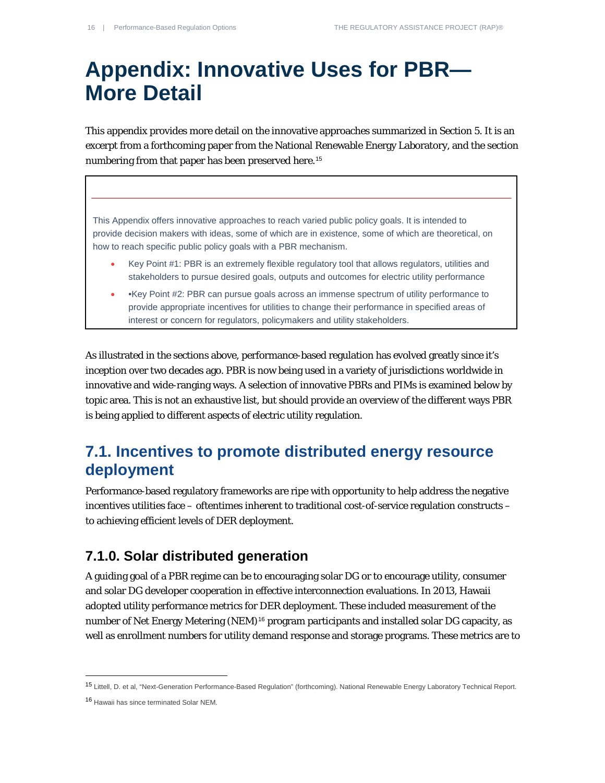## **Appendix: Innovative Uses for PBR— More Detail**

This appendix provides more detail on the innovative approaches summarized in Section 5. It is an excerpt from a forthcoming paper from the National Renewable Energy Laboratory, and the section numbering from that paper has been preserved here.<sup>[15](#page-15-0)</sup>

This Appendix offers innovative approaches to reach varied public policy goals. It is intended to provide decision makers with ideas, some of which are in existence, some of which are theoretical, on how to reach specific public policy goals with a PBR mechanism.

- Key Point #1: PBR is an extremely flexible regulatory tool that allows regulators, utilities and stakeholders to pursue desired goals, outputs and outcomes for electric utility performance
- •Key Point #2: PBR can pursue goals across an immense spectrum of utility performance to provide appropriate incentives for utilities to change their performance in specified areas of interest or concern for regulators, policymakers and utility stakeholders.

As illustrated in the sections above, performance-based regulation has evolved greatly since it's inception over two decades ago. PBR is now being used in a variety of jurisdictions worldwide in innovative and wide-ranging ways. A selection of innovative PBRs and PIMs is examined below by topic area. This is not an exhaustive list, but should provide an overview of the different ways PBR is being applied to different aspects of electric utility regulation.

### **7.1. Incentives to promote distributed energy resource deployment**

Performance-based regulatory frameworks are ripe with opportunity to help address the negative incentives utilities face – oftentimes inherent to traditional cost-of-service regulation constructs – to achieving efficient levels of DER deployment.

#### **7.1.0. Solar distributed generation**

A guiding goal of a PBR regime can be to encouraging solar DG or to encourage utility, consumer and solar DG developer cooperation in effective interconnection evaluations. In 2013, Hawaii adopted utility performance metrics for DER deployment. These included measurement of the number of Net Energy Metering (NEM)<sup>[16](#page-15-1)</sup> program participants and installed solar DG capacity, as well as enrollment numbers for utility demand response and storage programs. These metrics are to

<span id="page-15-0"></span><sup>15</sup> Littell, D. et al, "Next-Generation Performance-Based Regulation" (forthcoming). National Renewable Energy Laboratory Technical Report.

<span id="page-15-1"></span><sup>16</sup> Hawaii has since terminated Solar NEM.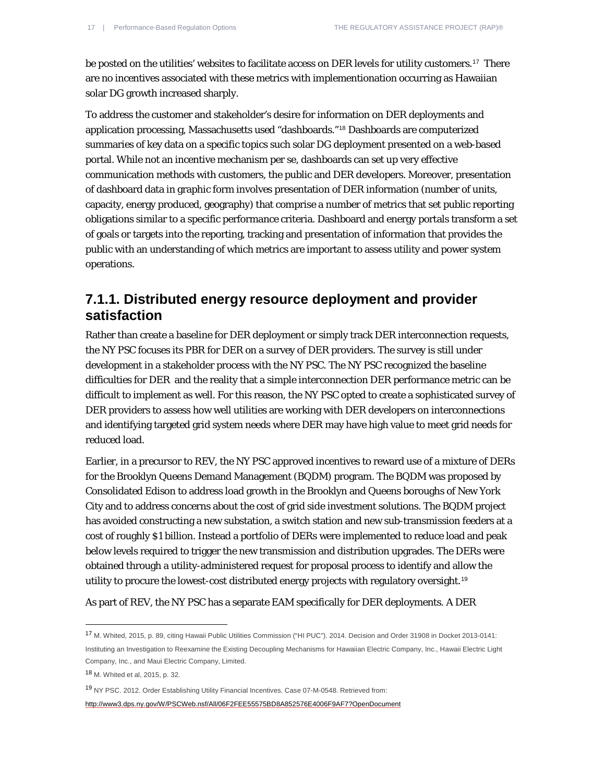be posted on the utilities' websites to facilitate access on DER levels for utility customers.[17](#page-16-0) There are no incentives associated with these metrics with implementionation occurring as Hawaiian solar DG growth increased sharply.

To address the customer and stakeholder's desire for information on DER deployments and application processing, Massachusetts used "dashboards."[18](#page-16-1) Dashboards are computerized summaries of key data on a specific topics such solar DG deployment presented on a web-based portal. While not an incentive mechanism per se, dashboards can set up very effective communication methods with customers, the public and DER developers. Moreover, presentation of dashboard data in graphic form involves presentation of DER information (number of units, capacity, energy produced, geography) that comprise a number of metrics that set public reporting obligations similar to a specific performance criteria. Dashboard and energy portals transform a set of goals or targets into the reporting, tracking and presentation of information that provides the public with an understanding of which metrics are important to assess utility and power system operations.

#### **7.1.1. Distributed energy resource deployment and provider satisfaction**

Rather than create a baseline for DER deployment or simply track DER interconnection requests, the NY PSC focuses its PBR for DER on a survey of DER providers. The survey is still under development in a stakeholder process with the NY PSC. The NY PSC recognized the baseline difficulties for DER and the reality that a simple interconnection DER performance metric can be difficult to implement as well. For this reason, the NY PSC opted to create a sophisticated survey of DER providers to assess how well utilities are working with DER developers on interconnections and identifying targeted grid system needs where DER may have high value to meet grid needs for reduced load.

Earlier, in a precursor to REV, the NY PSC approved incentives to reward use of a mixture of DERs for the Brooklyn Queens Demand Management (BQDM) program. The BQDM was proposed by Consolidated Edison to address load growth in the Brooklyn and Queens boroughs of New York City and to address concerns about the cost of grid side investment solutions. The BQDM project has avoided constructing a new substation, a switch station and new sub-transmission feeders at a cost of roughly \$1 billion. Instead a portfolio of DERs were implemented to reduce load and peak below levels required to trigger the new transmission and distribution upgrades. The DERs were obtained through a utility-administered request for proposal process to identify and allow the utility to procure the lowest-cost distributed energy projects with regulatory oversight.[19](#page-16-2)

As part of REV, the NY PSC has a separate EAM specifically for DER deployments. A DER

1

<span id="page-16-2"></span><sup>19</sup> NY PSC. 2012. Order Establishing Utility Financial Incentives. Case 07-M-0548. Retrieved from:

<http://www3.dps.ny.gov/W/PSCWeb.nsf/All/06F2FEE55575BD8A852576E4006F9AF7?OpenDocument>

<span id="page-16-0"></span><sup>17</sup> M. Whited, 2015, p. 89, citing Hawaii Public Utilities Commission ("HI PUC"). 2014. Decision and Order 31908 in Docket 2013-0141: Instituting an Investigation to Reexamine the Existing Decoupling Mechanisms for Hawaiian Electric Company, Inc., Hawaii Electric Light Company, Inc., and Maui Electric Company, Limited.

<span id="page-16-1"></span><sup>18</sup> M. Whited et al, 2015, p. 32.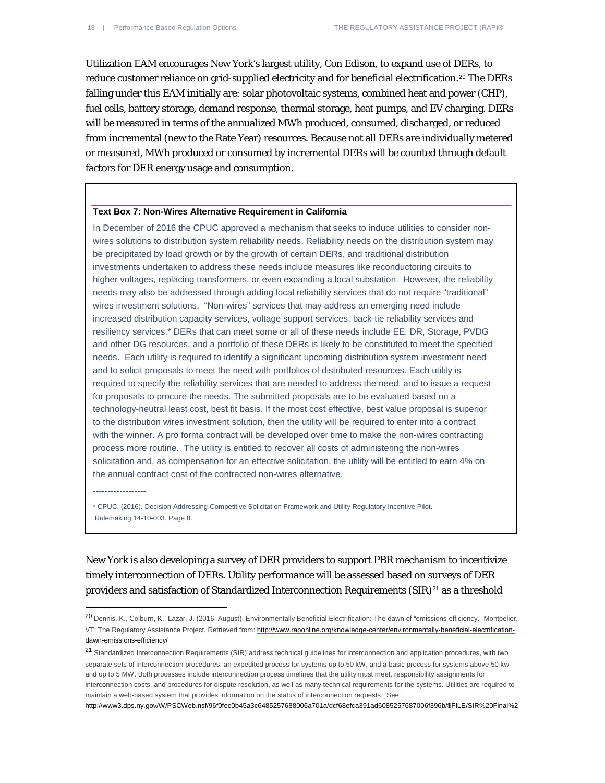Utilization EAM encourages New York's largest utility, Con Edison, to expand use of DERs, to reduce customer reliance on grid-supplied electricity and for beneficial electrification.<sup>[20](#page-17-0)</sup> The DERs falling under this EAM initially are: solar photovoltaic systems, combined heat and power (CHP), fuel cells, battery storage, demand response, thermal storage, heat pumps, and EV charging. DERs will be measured in terms of the annualized MWh produced, consumed, discharged, or reduced from incremental (new to the Rate Year) resources. Because not all DERs are individually metered or measured, MWh produced or consumed by incremental DERs will be counted through default factors for DER energy usage and consumption.

#### **Text Box 7: Non-Wires Alternative Requirement in California**

In December of 2016 the CPUC approved a mechanism that seeks to induce utilities to consider nonwires solutions to distribution system reliability needs. Reliability needs on the distribution system may be precipitated by load growth or by the growth of certain DERs, and traditional distribution investments undertaken to address these needs include measures like reconductoring circuits to higher voltages, replacing transformers, or even expanding a local substation. However, the reliability needs may also be addressed through adding local reliability services that do not require "traditional" wires investment solutions. "Non-wires" services that may address an emerging need include increased distribution capacity services, voltage support services, back-tie reliability services and resiliency services.\* DERs that can meet some or all of these needs include EE, DR, Storage, PVDG and other DG resources, and a portfolio of these DERs is likely to be constituted to meet the specified needs. Each utility is required to identify a significant upcoming distribution system investment need and to solicit proposals to meet the need with portfolios of distributed resources. Each utility is required to specify the reliability services that are needed to address the need, and to issue a request for proposals to procure the needs. The submitted proposals are to be evaluated based on a technology-neutral least cost, best fit basis. If the most cost effective, best value proposal is superior to the distribution wires investment solution, then the utility will be required to enter into a contract with the winner. A pro forma contract will be developed over time to make the non-wires contracting process more routine. The utility is entitled to recover all costs of administering the non-wires solicitation and, as compensation for an effective solicitation, the utility will be entitled to earn 4% on the annual contract cost of the contracted non-wires alternative.

------------------

1

\* CPUC. (2016). Decision Addressing Competitive Solicitation Framework and Utility Regulatory Incentive Pilot. Rulemaking 14-10-003. Page 8.

New York is also developing a survey of DER providers to support PBR mechanism to incentivize timely interconnection of DERs. Utility performance will be assessed based on surveys of DER providers and satisfaction of Standardized Interconnection Requirements  $(SIR)^{21}$  $(SIR)^{21}$  $(SIR)^{21}$  as a threshold

<span id="page-17-0"></span><sup>20</sup> Dennis, K., Colburn, K., Lazar, J. (2016, August). Environmentally Beneficial Electrification: The dawn of "emissions efficiency." Montpelier, VT: The Regulatory Assistance Project. Retrieved from[: http://www.raponline.org/knowledge-center/environmentally-beneficial-electrification](http://www.raponline.org/knowledge-center/environmentally-beneficial-electrification-dawn-emissions-efficiency/)[dawn-emissions-efficiency/](http://www.raponline.org/knowledge-center/environmentally-beneficial-electrification-dawn-emissions-efficiency/)

<span id="page-17-1"></span><sup>21</sup> Standardized Interconnection Requirements (SIR) address technical guidelines for interconnection and application procedures, with two separate sets of interconnection procedures: an expedited process for systems up to 50 kW, and a basic process for systems above 50 kw and up to 5 MW. Both processes include interconnection process timelines that the utility must meet, responsibility assignments for interconnection costs, and procedures for dispute resolution, as well as many technical requirements for the systems. Utilities are required to maintain a web-based system that provides information on the status of interconnection requests. See:

[http://www3.dps.ny.gov/W/PSCWeb.nsf/96f0fec0b45a3c6485257688006a701a/dcf68efca391ad6085257687006f396b/\\$FILE/SIR%20Final%2](http://www3.dps.ny.gov/W/PSCWeb.nsf/96f0fec0b45a3c6485257688006a701a/dcf68efca391ad6085257687006f396b/$FILE/SIR%20Final%203-17.pdf)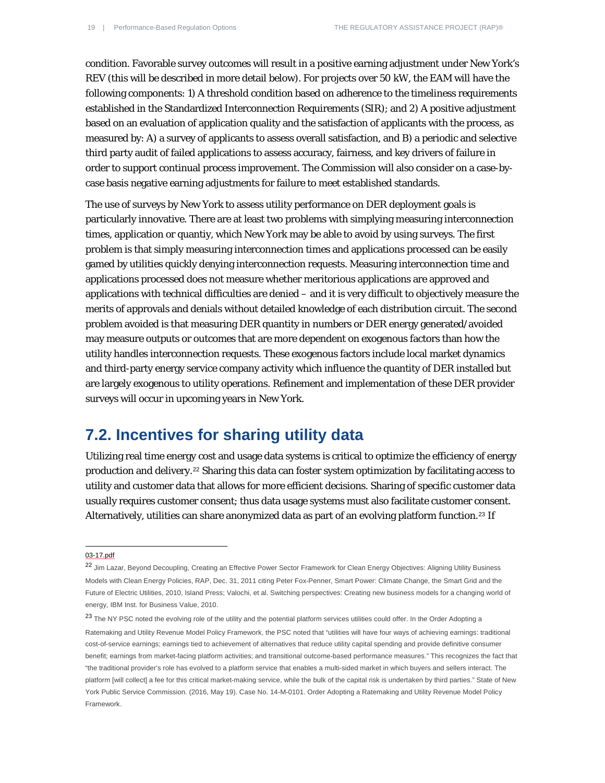condition. Favorable survey outcomes will result in a positive earning adjustment under New York's REV (this will be described in more detail below). For projects over 50 kW, the EAM will have the following components: 1) A threshold condition based on adherence to the timeliness requirements established in the Standardized Interconnection Requirements (SIR); and 2) A positive adjustment based on an evaluation of application quality and the satisfaction of applicants with the process, as measured by: A) a survey of applicants to assess overall satisfaction, and B) a periodic and selective third party audit of failed applications to assess accuracy, fairness, and key drivers of failure in order to support continual process improvement. The Commission will also consider on a case-bycase basis negative earning adjustments for failure to meet established standards.

The use of surveys by New York to assess utility performance on DER deployment goals is particularly innovative. There are at least two problems with simplying measuring interconnection times, application or quantiy, which New York may be able to avoid by using surveys. The first problem is that simply measuring interconnection times and applications processed can be easily gamed by utilities quickly denying interconnection requests. Measuring interconnection time and applications processed does not measure whether meritorious applications are approved and applications with technical difficulties are denied – and it is very difficult to objectively measure the merits of approvals and denials without detailed knowledge of each distribution circuit. The second problem avoided is that measuring DER quantity in numbers or DER energy generated/avoided may measure outputs or outcomes that are more dependent on exogenous factors than how the utility handles interconnection requests. These exogenous factors include local market dynamics and third-party energy service company activity which influence the quantity of DER installed but are largely exogenous to utility operations. Refinement and implementation of these DER provider surveys will occur in upcoming years in New York.

#### **7.2. Incentives for sharing utility data**

Utilizing real time energy cost and usage data systems is critical to optimize the efficiency of energy production and delivery.[22](#page-18-0) Sharing this data can foster system optimization by facilitating access to utility and customer data that allows for more efficient decisions. Sharing of specific customer data usually requires customer consent; thus data usage systems must also facilitate customer consent. Alternatively, utilities can share anonymized data as part of an evolving platform function.<sup>[23](#page-18-1)</sup> If

[03-17.pdf](http://www3.dps.ny.gov/W/PSCWeb.nsf/96f0fec0b45a3c6485257688006a701a/dcf68efca391ad6085257687006f396b/$FILE/SIR%20Final%203-17.pdf)

 $\overline{a}$ 

<span id="page-18-0"></span><sup>&</sup>lt;sup>22</sup> Jim Lazar, Beyond Decoupling, Creating an Effective Power Sector Framework for Clean Energy Objectives: Aligning Utility Business Models with Clean Energy Policies, RAP, Dec. 31, 2011 citing Peter Fox-Penner, Smart Power: Climate Change, the Smart Grid and the Future of Electric Utilities, 2010, Island Press; Valochi, et al. Switching perspectives: Creating new business models for a changing world of energy, IBM Inst. for Business Value, 2010.

<span id="page-18-1"></span><sup>&</sup>lt;sup>23</sup> The NY PSC noted the evolving role of the utility and the potential platform services utilities could offer. In the Order Adopting a Ratemaking and Utility Revenue Model Policy Framework, the PSC noted that "utilities will have four ways of achieving earnings: traditional cost-of-service earnings; earnings tied to achievement of alternatives that reduce utility capital spending and provide definitive consumer benefit; earnings from market-facing platform activities; and transitional outcome-based performance measures." This recognizes the fact that "the traditional provider's role has evolved to a platform service that enables a multi-sided market in which buyers and sellers interact. The platform [will collect] a fee for this critical market-making service, while the bulk of the capital risk is undertaken by third parties." State of New York Public Service Commission. (2016, May 19). Case No. 14-M-0101. Order Adopting a Ratemaking and Utility Revenue Model Policy Framework.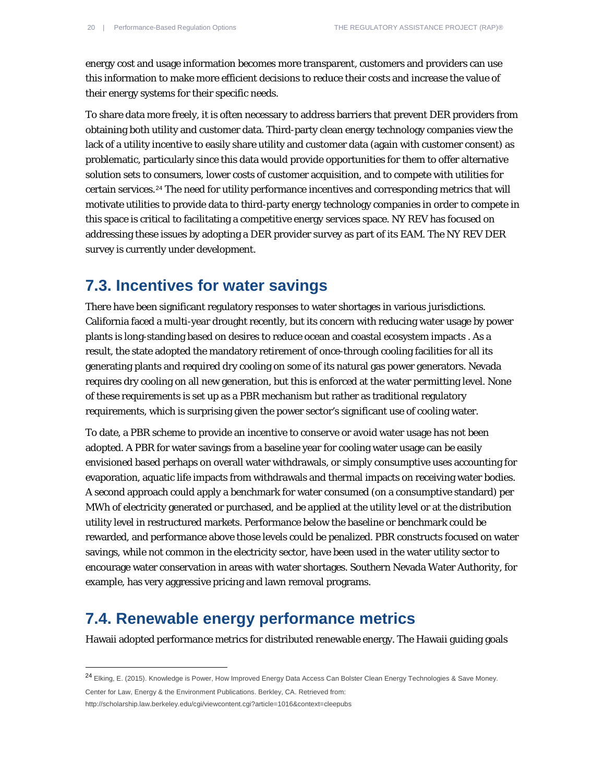energy cost and usage information becomes more transparent, customers and providers can use this information to make more efficient decisions to reduce their costs and increase the value of their energy systems for their specific needs.

To share data more freely, it is often necessary to address barriers that prevent DER providers from obtaining both utility and customer data. Third-party clean energy technology companies view the lack of a utility incentive to easily share utility and customer data (again with customer consent) as problematic, particularly since this data would provide opportunities for them to offer alternative solution sets to consumers, lower costs of customer acquisition, and to compete with utilities for certain services.[24](#page-19-0) The need for utility performance incentives and corresponding metrics that will motivate utilities to provide data to third-party energy technology companies in order to compete in this space is critical to facilitating a competitive energy services space. NY REV has focused on addressing these issues by adopting a DER provider survey as part of its EAM. The NY REV DER survey is currently under development.

#### **7.3. Incentives for water savings**

There have been significant regulatory responses to water shortages in various jurisdictions. California faced a multi-year drought recently, but its concern with reducing water usage by power plants is long-standing based on desires to reduce ocean and coastal ecosystem impacts . As a result, the state adopted the mandatory retirement of once-through cooling facilities for all its generating plants and required dry cooling on some of its natural gas power generators. Nevada requires dry cooling on all new generation, but this is enforced at the water permitting level. None of these requirements is set up as a PBR mechanism but rather as traditional regulatory requirements, which is surprising given the power sector's significant use of cooling water.

To date, a PBR scheme to provide an incentive to conserve or avoid water usage has not been adopted. A PBR for water savings from a baseline year for cooling water usage can be easily envisioned based perhaps on overall water withdrawals, or simply consumptive uses accounting for evaporation, aquatic life impacts from withdrawals and thermal impacts on receiving water bodies. A second approach could apply a benchmark for water consumed (on a consumptive standard) per MWh of electricity generated or purchased, and be applied at the utility level or at the distribution utility level in restructured markets. Performance below the baseline or benchmark could be rewarded, and performance above those levels could be penalized. PBR constructs focused on water savings, while not common in the electricity sector, have been used in the water utility sector to encourage water conservation in areas with water shortages. Southern Nevada Water Authority, for example, has very aggressive pricing and lawn removal programs.

#### **7.4. Renewable energy performance metrics**

Hawaii adopted performance metrics for distributed renewable energy. The Hawaii guiding goals

Center for Law, Energy & the Environment Publications. Berkley, CA. Retrieved from:

1

http://scholarship.law.berkeley.edu/cgi/viewcontent.cgi?article=1016&context=cleepubs

<span id="page-19-0"></span><sup>24</sup> Elking, E. (2015). Knowledge is Power, How Improved Energy Data Access Can Bolster Clean Energy Technologies & Save Money.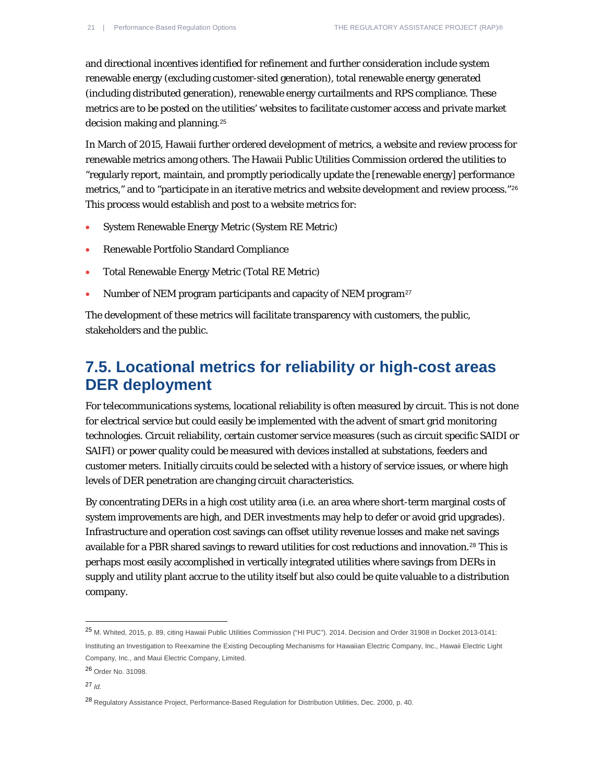and directional incentives identified for refinement and further consideration include system renewable energy (excluding customer-sited generation), total renewable energy generated (including distributed generation), renewable energy curtailments and RPS compliance. These metrics are to be posted on the utilities' websites to facilitate customer access and private market decision making and planning.[25](#page-20-0)

In March of 2015, Hawaii further ordered development of metrics, a website and review process for renewable metrics among others. The Hawaii Public Utilities Commission ordered the utilities to "regularly report, maintain, and promptly periodically update the [renewable energy] performance metrics," and to "participate in an iterative metrics and website development and review process."[26](#page-20-1) This process would establish and post to a website metrics for:

- System Renewable Energy Metric (System RE Metric)
- Renewable Portfolio Standard Compliance
- Total Renewable Energy Metric (Total RE Metric)
- Number of NEM program participants and capacity of NEM program<sup>[27](#page-20-2)</sup>

The development of these metrics will facilitate transparency with customers, the public, stakeholders and the public.

#### **7.5. Locational metrics for reliability or high-cost areas DER deployment**

For telecommunications systems, locational reliability is often measured by circuit. This is not done for electrical service but could easily be implemented with the advent of smart grid monitoring technologies. Circuit reliability, certain customer service measures (such as circuit specific SAIDI or SAIFI) or power quality could be measured with devices installed at substations, feeders and customer meters. Initially circuits could be selected with a history of service issues, or where high levels of DER penetration are changing circuit characteristics.

By concentrating DERs in a high cost utility area (i.e. an area where short-term marginal costs of system improvements are high, and DER investments may help to defer or avoid grid upgrades). Infrastructure and operation cost savings can offset utility revenue losses and make net savings available for a PBR shared savings to reward utilities for cost reductions and innovation.[28](#page-20-3) This is perhaps most easily accomplished in vertically integrated utilities where savings from DERs in supply and utility plant accrue to the utility itself but also could be quite valuable to a distribution company.

<span id="page-20-0"></span><sup>25</sup> M. Whited, 2015, p. 89, citing Hawaii Public Utilities Commission ("HI PUC"). 2014. Decision and Order 31908 in Docket 2013-0141: Instituting an Investigation to Reexamine the Existing Decoupling Mechanisms for Hawaiian Electric Company, Inc., Hawaii Electric Light Company, Inc., and Maui Electric Company, Limited.

<span id="page-20-1"></span><sup>26</sup> Order No. 31098.

<span id="page-20-2"></span><sup>27</sup> *Id.*

<span id="page-20-3"></span><sup>28</sup> Regulatory Assistance Project, Performance-Based Regulation for Distribution Utilities, Dec. 2000, p. 40.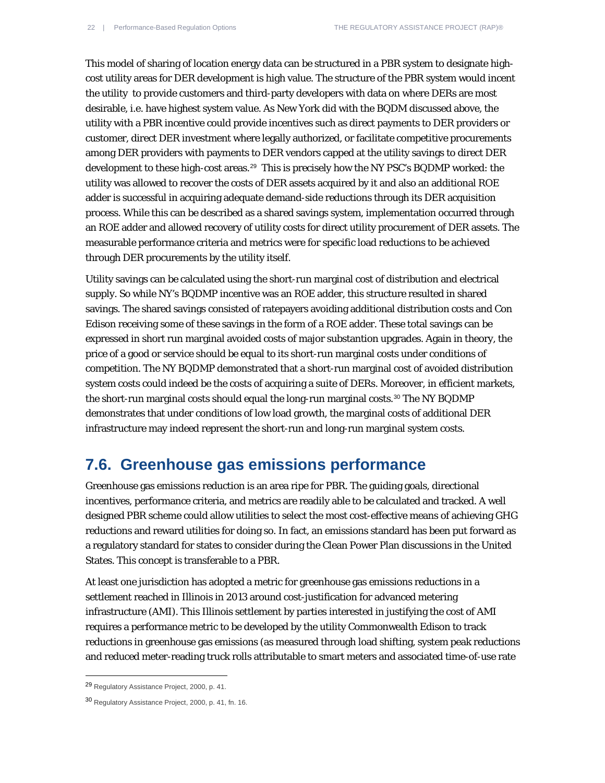This model of sharing of location energy data can be structured in a PBR system to designate highcost utility areas for DER development is high value. The structure of the PBR system would incent the utility to provide customers and third-party developers with data on where DERs are most desirable, i.e. have highest system value. As New York did with the BQDM discussed above, the utility with a PBR incentive could provide incentives such as direct payments to DER providers or customer, direct DER investment where legally authorized, or facilitate competitive procurements among DER providers with payments to DER vendors capped at the utility savings to direct DER development to these high-cost areas.<sup>[29](#page-21-0)</sup> This is precisely how the NY PSC's BQDMP worked: the utility was allowed to recover the costs of DER assets acquired by it and also an additional ROE adder is successful in acquiring adequate demand-side reductions through its DER acquisition process. While this can be described as a shared savings system, implementation occurred through an ROE adder and allowed recovery of utility costs for direct utility procurement of DER assets. The measurable performance criteria and metrics were for specific load reductions to be achieved through DER procurements by the utility itself.

Utility savings can be calculated using the short-run marginal cost of distribution and electrical supply. So while NY's BQDMP incentive was an ROE adder, this structure resulted in shared savings. The shared savings consisted of ratepayers avoiding additional distribution costs and Con Edison receiving some of these savings in the form of a ROE adder. These total savings can be expressed in short run marginal avoided costs of major substantion upgrades. Again in theory, the price of a good or service should be equal to its short-run marginal costs under conditions of competition. The NY BQDMP demonstrated that a short-run marginal cost of avoided distribution system costs could indeed be the costs of acquiring a suite of DERs. Moreover, in efficient markets, the short-run marginal costs should equal the long-run marginal costs.[30](#page-21-1) The NY BQDMP demonstrates that under conditions of low load growth, the marginal costs of additional DER infrastructure may indeed represent the short-run and long-run marginal system costs.

#### **7.6. Greenhouse gas emissions performance**

Greenhouse gas emissions reduction is an area ripe for PBR. The guiding goals, directional incentives, performance criteria, and metrics are readily able to be calculated and tracked. A well designed PBR scheme could allow utilities to select the most cost-effective means of achieving GHG reductions and reward utilities for doing so. In fact, an emissions standard has been put forward as a regulatory standard for states to consider during the Clean Power Plan discussions in the United States. This concept is transferable to a PBR.

At least one jurisdiction has adopted a metric for greenhouse gas emissions reductions in a settlement reached in Illinois in 2013 around cost-justification for advanced metering infrastructure (AMI). This Illinois settlement by parties interested in justifying the cost of AMI requires a performance metric to be developed by the utility Commonwealth Edison to track reductions in greenhouse gas emissions (as measured through load shifting, system peak reductions and reduced meter-reading truck rolls attributable to smart meters and associated time-of-use rate

<span id="page-21-0"></span><sup>29</sup> Regulatory Assistance Project, 2000, p. 41.

<span id="page-21-1"></span><sup>30</sup> Regulatory Assistance Project, 2000, p. 41, fn. 16.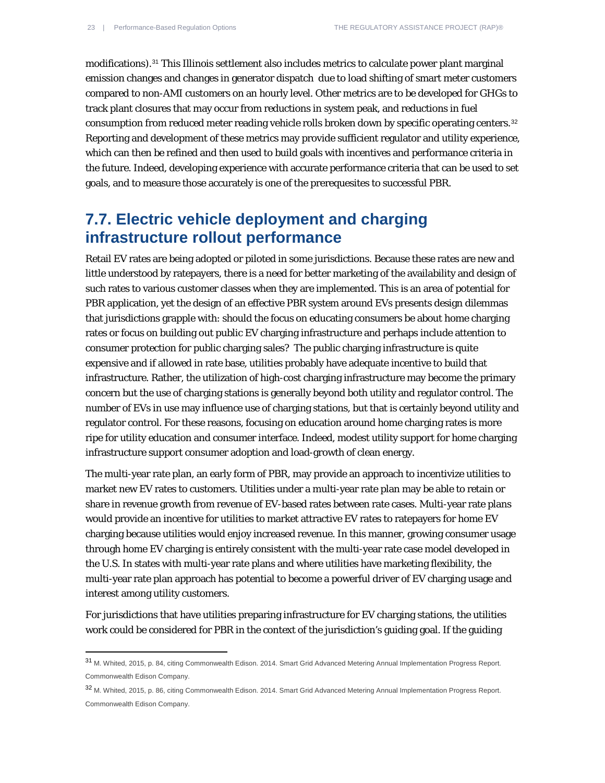1

modifications).[31](#page-22-0) This Illinois settlement also includes metrics to calculate power plant marginal emission changes and changes in generator dispatch due to load shifting of smart meter customers compared to non-AMI customers on an hourly level. Other metrics are to be developed for GHGs to track plant closures that may occur from reductions in system peak, and reductions in fuel consumption from reduced meter reading vehicle rolls broken down by specific operating centers.[32](#page-22-1) Reporting and development of these metrics may provide sufficient regulator and utility experience, which can then be refined and then used to build goals with incentives and performance criteria in the future. Indeed, developing experience with accurate performance criteria that can be used to set goals, and to measure those accurately is one of the prerequesites to successful PBR.

### **7.7. Electric vehicle deployment and charging infrastructure rollout performance**

Retail EV rates are being adopted or piloted in some jurisdictions. Because these rates are new and little understood by ratepayers, there is a need for better marketing of the availability and design of such rates to various customer classes when they are implemented. This is an area of potential for PBR application, yet the design of an effective PBR system around EVs presents design dilemmas that jurisdictions grapple with: should the focus on educating consumers be about home charging rates or focus on building out public EV charging infrastructure and perhaps include attention to consumer protection for public charging sales? The public charging infrastructure is quite expensive and if allowed in rate base, utilities probably have adequate incentive to build that infrastructure. Rather, the utilization of high-cost charging infrastructure may become the primary concern but the use of charging stations is generally beyond both utility and regulator control. The number of EVs in use may influence use of charging stations, but that is certainly beyond utility and regulator control. For these reasons, focusing on education around home charging rates is more ripe for utility education and consumer interface. Indeed, modest utility support for home charging infrastructure support consumer adoption and load-growth of clean energy.

The multi-year rate plan, an early form of PBR, may provide an approach to incentivize utilities to market new EV rates to customers. Utilities under a multi-year rate plan may be able to retain or share in revenue growth from revenue of EV-based rates between rate cases. Multi-year rate plans would provide an incentive for utilities to market attractive EV rates to ratepayers for home EV charging because utilities would enjoy increased revenue. In this manner, growing consumer usage through home EV charging is entirely consistent with the multi-year rate case model developed in the U.S. In states with multi-year rate plans and where utilities have marketing flexibility, the multi-year rate plan approach has potential to become a powerful driver of EV charging usage and interest among utility customers.

For jurisdictions that have utilities preparing infrastructure for EV charging stations, the utilities work could be considered for PBR in the context of the jurisdiction's guiding goal. If the guiding

<span id="page-22-0"></span><sup>31</sup> M. Whited, 2015, p. 84, citing Commonwealth Edison. 2014. Smart Grid Advanced Metering Annual Implementation Progress Report. Commonwealth Edison Company.

<span id="page-22-1"></span><sup>32</sup> M. Whited, 2015, p. 86, citing Commonwealth Edison. 2014. Smart Grid Advanced Metering Annual Implementation Progress Report. Commonwealth Edison Company.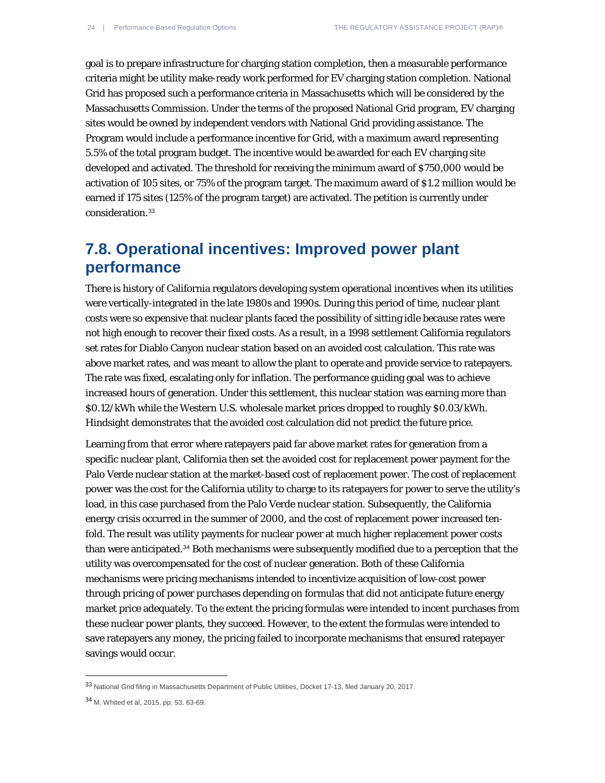goal is to prepare infrastructure for charging station completion, then a measurable performance criteria might be utility make-ready work performed for EV charging station completion. National Grid has proposed such a performance criteria in Massachusetts which will be considered by the Massachusetts Commission. Under the terms of the proposed National Grid program, EV charging sites would be owned by independent vendors with National Grid providing assistance. The Program would include a performance incentive for Grid, with a maximum award representing 5.5% of the total program budget. The incentive would be awarded for each EV charging site developed and activated. The threshold for receiving the minimum award of \$750,000 would be activation of 105 sites, or 75% of the program target. The maximum award of \$1.2 million would be earned if 175 sites (125% of the program target) are activated. The petition is currently under consideration.[33](#page-23-0)

#### **7.8. Operational incentives: Improved power plant performance**

There is history of California regulators developing system operational incentives when its utilities were vertically-integrated in the late 1980s and 1990s. During this period of time, nuclear plant costs were so expensive that nuclear plants faced the possibility of sitting idle because rates were not high enough to recover their fixed costs. As a result, in a 1998 settlement California regulators set rates for Diablo Canyon nuclear station based on an avoided cost calculation. This rate was above market rates, and was meant to allow the plant to operate and provide service to ratepayers. The rate was fixed, escalating only for inflation. The performance guiding goal was to achieve increased hours of generation. Under this settlement, this nuclear station was earning more than \$0.12/kWh while the Western U.S. wholesale market prices dropped to roughly \$0.03/kWh. Hindsight demonstrates that the avoided cost calculation did not predict the future price.

Learning from that error where ratepayers paid far above market rates for generation from a specific nuclear plant, California then set the avoided cost for replacement power payment for the Palo Verde nuclear station at the market-based cost of replacement power. The cost of replacement power was the cost for the California utility to charge to its ratepayers for power to serve the utility's load, in this case purchased from the Palo Verde nuclear station. Subsequently, the California energy crisis occurred in the summer of 2000, and the cost of replacement power increased tenfold. The result was utility payments for nuclear power at much higher replacement power costs than were anticipated.[34](#page-23-1) Both mechanisms were subsequently modified due to a perception that the utility was overcompensated for the cost of nuclear generation. Both of these California mechanisms were pricing mechanisms intended to incentivize acquisition of low-cost power through pricing of power purchases depending on formulas that did not anticipate future energy market price adequately. To the extent the pricing formulas were intended to incent purchases from these nuclear power plants, they succeed. However, to the extent the formulas were intended to save ratepayers any money, the pricing failed to incorporate mechanisms that ensured ratepayer savings would occur.

<span id="page-23-0"></span><sup>33</sup> National Grid filing in Massachusetts Department of Public Utilities, Docket 17-13, filed January 20, 2017.

<span id="page-23-1"></span><sup>34</sup> M. Whited et al, 2015, pp. 53, 63-69.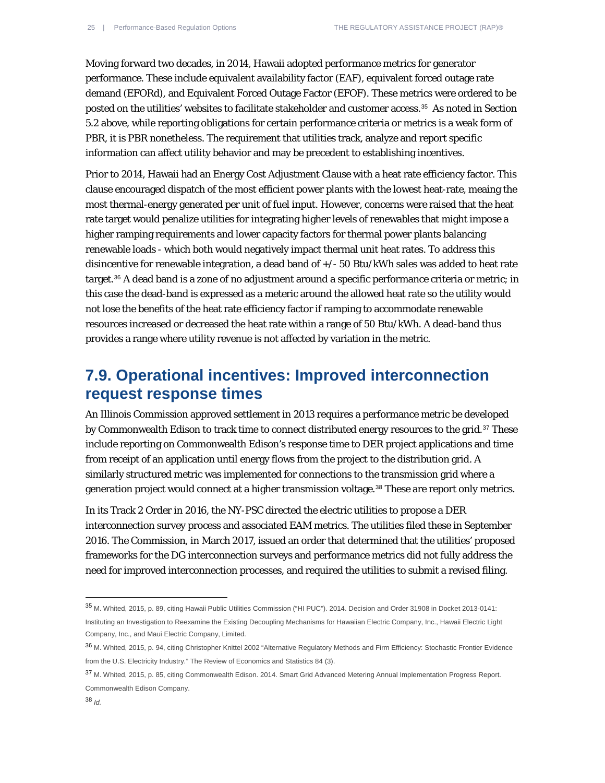Moving forward two decades, in 2014, Hawaii adopted performance metrics for generator performance. These include equivalent availability factor (EAF), equivalent forced outage rate demand (EFORd), and Equivalent Forced Outage Factor (EFOF). These metrics were ordered to be posted on the utilities' websites to facilitate stakeholder and customer access.[35](#page-24-0) As noted in Section 5.2 above, while reporting obligations for certain performance criteria or metrics is a weak form of PBR, it is PBR nonetheless. The requirement that utilities track, analyze and report specific information can affect utility behavior and may be precedent to establishing incentives.

Prior to 2014, Hawaii had an Energy Cost Adjustment Clause with a heat rate efficiency factor. This clause encouraged dispatch of the most efficient power plants with the lowest heat-rate, meaing the most thermal-energy generated per unit of fuel input. However, concerns were raised that the heat rate target would penalize utilities for integrating higher levels of renewables that might impose a higher ramping requirements and lower capacity factors for thermal power plants balancing renewable loads - which both would negatively impact thermal unit heat rates. To address this disincentive for renewable integration, a dead band of +/- 50 Btu/kWh sales was added to heat rate target.[36](#page-24-1) A dead band is a zone of no adjustment around a specific performance criteria or metric; in this case the dead-band is expressed as a meteric around the allowed heat rate so the utility would not lose the benefits of the heat rate efficiency factor if ramping to accommodate renewable resources increased or decreased the heat rate within a range of 50 Btu/kWh. A dead-band thus provides a range where utility revenue is not affected by variation in the metric.

## **7.9. Operational incentives: Improved interconnection request response times**

An Illinois Commission approved settlement in 2013 requires a performance metric be developed by Commonwealth Edison to track time to connect distributed energy resources to the grid.<sup>[37](#page-24-2)</sup> These include reporting on Commonwealth Edison's response time to DER project applications and time from receipt of an application until energy flows from the project to the distribution grid. A similarly structured metric was implemented for connections to the transmission grid where a generation project would connect at a higher transmission voltage.<sup>[38](#page-24-3)</sup> These are report only metrics.

In its Track 2 Order in 2016, the NY-PSC directed the electric utilities to propose a DER interconnection survey process and associated EAM metrics. The utilities filed these in September 2016. The Commission, in March 2017, issued an order that determined that the utilities' proposed frameworks for the DG interconnection surveys and performance metrics did not fully address the need for improved interconnection processes, and required the utilities to submit a revised filing.

 $\overline{a}$ 

<span id="page-24-0"></span><sup>35</sup> M. Whited, 2015, p. 89, citing Hawaii Public Utilities Commission ("HI PUC"). 2014. Decision and Order 31908 in Docket 2013-0141: Instituting an Investigation to Reexamine the Existing Decoupling Mechanisms for Hawaiian Electric Company, Inc., Hawaii Electric Light Company, Inc., and Maui Electric Company, Limited.

<span id="page-24-1"></span><sup>36</sup> M. Whited, 2015, p. 94, citing Christopher Knittel 2002 "Alternative Regulatory Methods and Firm Efficiency: Stochastic Frontier Evidence from the U.S. Electricity Industry." The Review of Economics and Statistics 84 (3).

<span id="page-24-3"></span><span id="page-24-2"></span><sup>37</sup> M. Whited, 2015, p. 85, citing Commonwealth Edison. 2014. Smart Grid Advanced Metering Annual Implementation Progress Report. Commonwealth Edison Company.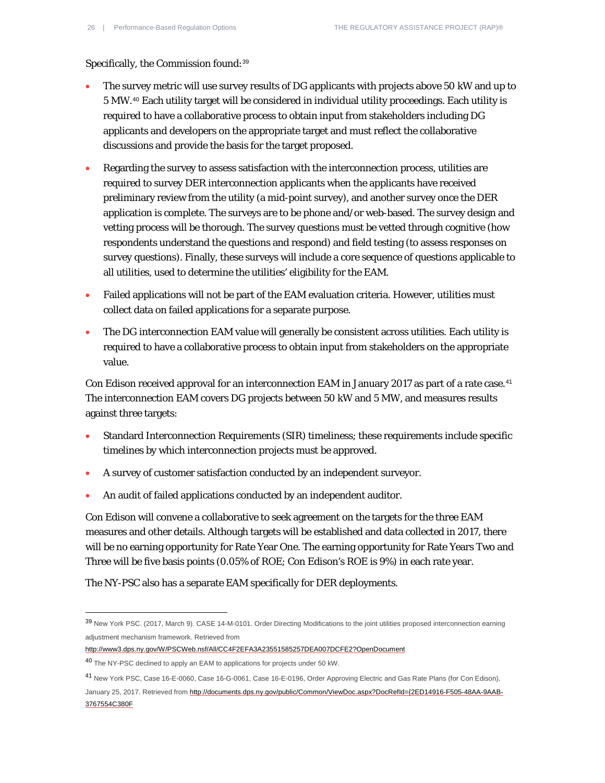Specifically, the Commission found: [39](#page-25-0)

- The survey metric will use survey results of DG applicants with projects above 50 kW and up to 5 MW.[40](#page-25-1) Each utility target will be considered in individual utility proceedings. Each utility is required to have a collaborative process to obtain input from stakeholders including DG applicants and developers on the appropriate target and must reflect the collaborative discussions and provide the basis for the target proposed.
- Regarding the survey to assess satisfaction with the interconnection process, utilities are required to survey DER interconnection applicants when the applicants have received preliminary review from the utility (a mid-point survey), and another survey once the DER application is complete. The surveys are to be phone and/or web-based. The survey design and vetting process will be thorough. The survey questions must be vetted through cognitive (how respondents understand the questions and respond) and field testing (to assess responses on survey questions). Finally, these surveys will include a core sequence of questions applicable to all utilities, used to determine the utilities' eligibility for the EAM.
- Failed applications will not be part of the EAM evaluation criteria. However, utilities must collect data on failed applications for a separate purpose.
- The DG interconnection EAM value will generally be consistent across utilities. Each utility is required to have a collaborative process to obtain input from stakeholders on the appropriate value.

Con Edison received approval for an interconnection EAM in January 2017 as part of a rate case.<sup>[41](#page-25-2)</sup> The interconnection EAM covers DG projects between 50 kW and 5 MW, and measures results against three targets:

- Standard Interconnection Requirements (SIR) timeliness; these requirements include specific timelines by which interconnection projects must be approved.
- A survey of customer satisfaction conducted by an independent surveyor.
- An audit of failed applications conducted by an independent auditor.

Con Edison will convene a collaborative to seek agreement on the targets for the three EAM measures and other details. Although targets will be established and data collected in 2017, there will be no earning opportunity for Rate Year One. The earning opportunity for Rate Years Two and Three will be five basis points (0.05% of ROE; Con Edison's ROE is 9%) in each rate year.

The NY-PSC also has a separate EAM specifically for DER deployments.

<span id="page-25-0"></span><sup>39</sup> New York PSC. (2017, March 9). CASE 14-M-0101. Order Directing Modifications to the joint utilities proposed interconnection earning adjustment mechanism framework. Retrieved from

<http://www3.dps.ny.gov/W/PSCWeb.nsf/All/CC4F2EFA3A23551585257DEA007DCFE2?OpenDocument>

<span id="page-25-1"></span><sup>40</sup> The NY-PSC declined to apply an EAM to applications for projects under 50 kW.

<span id="page-25-2"></span><sup>41</sup> New York PSC, Case 16-E-0060, Case 16-G-0061, Case 16-E-0196, Order Approving Electric and Gas Rate Plans (for Con Edison),

January 25, 2017. Retrieved from [http://documents.dps.ny.gov/public/Common/ViewDoc.aspx?DocRefId={2ED14916-F505-48AA-9AAB-](http://documents.dps.ny.gov/public/Common/ViewDoc.aspx?DocRefId=%7b2ED14916-F505-48AA-9AAB-3767554C380F)[3767554C380F](http://documents.dps.ny.gov/public/Common/ViewDoc.aspx?DocRefId=%7b2ED14916-F505-48AA-9AAB-3767554C380F)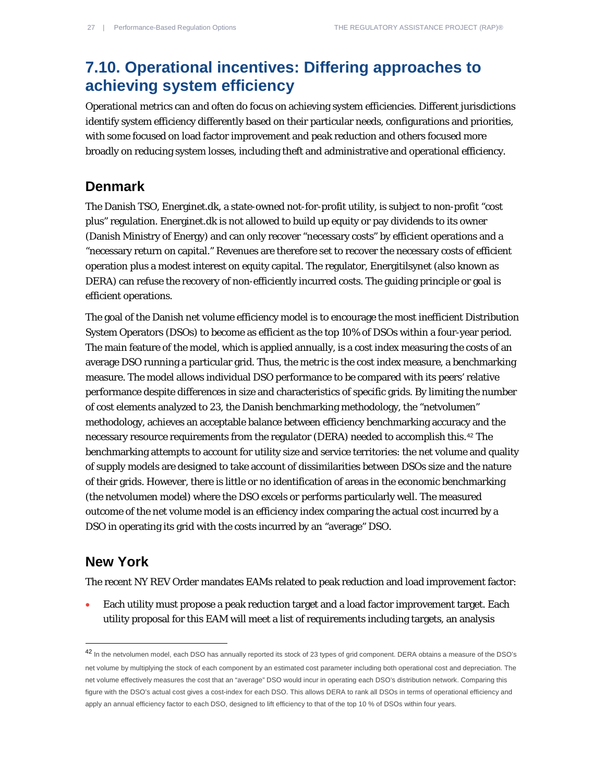## **7.10. Operational incentives: Differing approaches to achieving system efficiency**

Operational metrics can and often do focus on achieving system efficiencies. Different jurisdictions identify system efficiency differently based on their particular needs, configurations and priorities, with some focused on load factor improvement and peak reduction and others focused more broadly on reducing system losses, including theft and administrative and operational efficiency.

#### **Denmark**

The Danish TSO, Energinet.dk, a state-owned not-for-profit utility, is subject to non-profit "cost plus" regulation. Energinet.dk is not allowed to build up equity or pay dividends to its owner (Danish Ministry of Energy) and can only recover "necessary costs" by efficient operations and a "necessary return on capital." Revenues are therefore set to recover the necessary costs of efficient operation plus a modest interest on equity capital. The regulator, Energitilsynet (also known as DERA) can refuse the recovery of non-efficiently incurred costs. The guiding principle or goal is efficient operations.

The goal of the Danish net volume efficiency model is to encourage the most inefficient Distribution System Operators (DSOs) to become as efficient as the top 10% of DSOs within a four-year period. The main feature of the model, which is applied annually, is a cost index measuring the costs of an average DSO running a particular grid. Thus, the metric is the cost index measure, a benchmarking measure. The model allows individual DSO performance to be compared with its peers' relative performance despite differences in size and characteristics of specific grids. By limiting the number of cost elements analyzed to 23, the Danish benchmarking methodology, the "netvolumen" methodology, achieves an acceptable balance between efficiency benchmarking accuracy and the necessary resource requirements from the regulator (DERA) needed to accomplish this.[42](#page-26-0) The benchmarking attempts to account for utility size and service territories: the net volume and quality of supply models are designed to take account of dissimilarities between DSOs size and the nature of their grids. However, there is little or no identification of areas in the economic benchmarking (the netvolumen model) where the DSO excels or performs particularly well. The measured outcome of the net volume model is an efficiency index comparing the actual cost incurred by a DSO in operating its grid with the costs incurred by an "average" DSO.

#### **New York**

1

The recent NY REV Order mandates EAMs related to peak reduction and load improvement factor:

• Each utility must propose a peak reduction target and a load factor improvement target. Each utility proposal for this EAM will meet a list of requirements including targets, an analysis

<span id="page-26-0"></span><sup>42</sup> In the netvolumen model, each DSO has annually reported its stock of 23 types of grid component. DERA obtains a measure of the DSO's net volume by multiplying the stock of each component by an estimated cost parameter including both operational cost and depreciation. The net volume effectively measures the cost that an "average" DSO would incur in operating each DSO's distribution network. Comparing this figure with the DSO's actual cost gives a cost-index for each DSO. This allows DERA to rank all DSOs in terms of operational efficiency and apply an annual efficiency factor to each DSO, designed to lift efficiency to that of the top 10 % of DSOs within four years.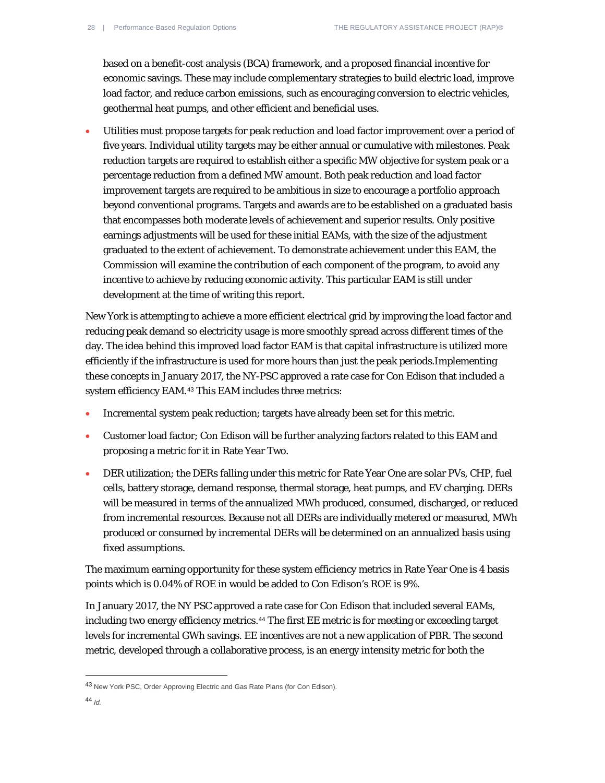based on a benefit-cost analysis (BCA) framework, and a proposed financial incentive for economic savings. These may include complementary strategies to build electric load, improve load factor, and reduce carbon emissions, such as encouraging conversion to electric vehicles, geothermal heat pumps, and other efficient and beneficial uses.

• Utilities must propose targets for peak reduction and load factor improvement over a period of five years. Individual utility targets may be either annual or cumulative with milestones. Peak reduction targets are required to establish either a specific MW objective for system peak or a percentage reduction from a defined MW amount. Both peak reduction and load factor improvement targets are required to be ambitious in size to encourage a portfolio approach beyond conventional programs. Targets and awards are to be established on a graduated basis that encompasses both moderate levels of achievement and superior results. Only positive earnings adjustments will be used for these initial EAMs, with the size of the adjustment graduated to the extent of achievement. To demonstrate achievement under this EAM, the Commission will examine the contribution of each component of the program, to avoid any incentive to achieve by reducing economic activity. This particular EAM is still under development at the time of writing this report.

New York is attempting to achieve a more efficient electrical grid by improving the load factor and reducing peak demand so electricity usage is more smoothly spread across different times of the day. The idea behind this improved load factor EAM is that capital infrastructure is utilized more efficiently if the infrastructure is used for more hours than just the peak periods.Implementing these concepts in January 2017, the NY-PSC approved a rate case for Con Edison that included a system efficiency EAM.[43](#page-27-0) This EAM includes three metrics:

- Incremental system peak reduction; targets have already been set for this metric.
- Customer load factor; Con Edison will be further analyzing factors related to this EAM and proposing a metric for it in Rate Year Two.
- DER utilization; the DERs falling under this metric for Rate Year One are solar PVs, CHP, fuel cells, battery storage, demand response, thermal storage, heat pumps, and EV charging. DERs will be measured in terms of the annualized MWh produced, consumed, discharged, or reduced from incremental resources. Because not all DERs are individually metered or measured, MWh produced or consumed by incremental DERs will be determined on an annualized basis using fixed assumptions.

The maximum earning opportunity for these system efficiency metrics in Rate Year One is 4 basis points which is 0.04% of ROE in would be added to Con Edison's ROE is 9%.

In January 2017, the NY PSC approved a rate case for Con Edison that included several EAMs, including two energy efficiency metrics.[44](#page-27-1) The first EE metric is for meeting or exceeding target levels for incremental GWh savings. EE incentives are not a new application of PBR. The second metric, developed through a collaborative process, is an energy intensity metric for both the

<span id="page-27-1"></span><span id="page-27-0"></span><sup>43</sup> New York PSC, Order Approving Electric and Gas Rate Plans (for Con Edison).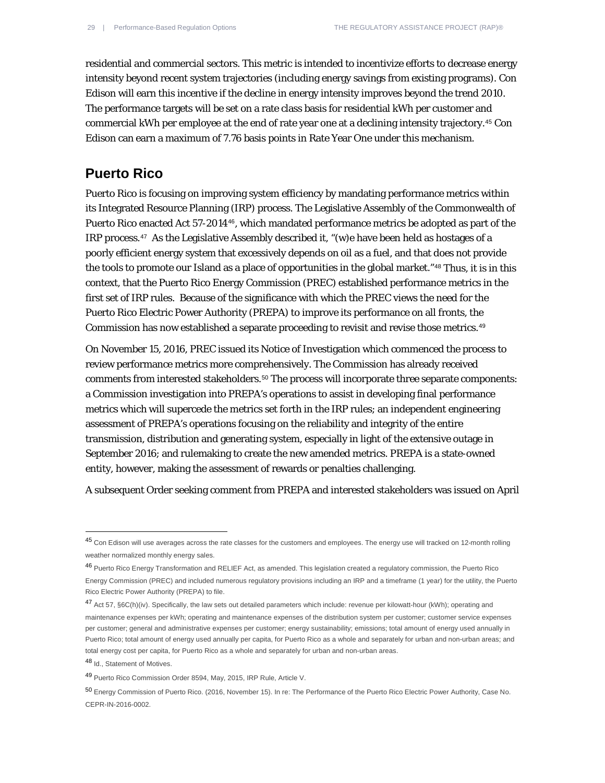residential and commercial sectors. This metric is intended to incentivize efforts to decrease energy intensity beyond recent system trajectories (including energy savings from existing programs). Con Edison will earn this incentive if the decline in energy intensity improves beyond the trend 2010. The performance targets will be set on a rate class basis for residential kWh per customer and commercial kWh per employee at the end of rate year one at a declining intensity trajectory.[45](#page-28-0) Con Edison can earn a maximum of 7.76 basis points in Rate Year One under this mechanism.

#### **Puerto Rico**

Puerto Rico is focusing on improving system efficiency by mandating performance metrics within its Integrated Resource Planning (IRP) process. The Legislative Assembly of the Commonwealth of Puerto Rico enacted Act 57-2014[46](#page-28-1), which mandated performance metrics be adopted as part of the IRP process.<sup>[47](#page-28-2)</sup> As the Legislative Assembly described it, "(w)e have been held as hostages of a poorly efficient energy system that excessively depends on oil as a fuel, and that does not provide the tools to promote our Island as a place of opportunities in the global market."[48](#page-28-3) Thus, it is in this context, that the Puerto Rico Energy Commission (PREC) established performance metrics in the first set of IRP rules. Because of the significance with which the PREC views the need for the Puerto Rico Electric Power Authority (PREPA) to improve its performance on all fronts, the Commission has now established a separate proceeding to revisit and revise those metrics.[49](#page-28-4)

On November 15, 2016, PREC issued its Notice of Investigation which commenced the process to review performance metrics more comprehensively. The Commission has already received comments from interested stakeholders.[50](#page-28-5) The process will incorporate three separate components: a Commission investigation into PREPA's operations to assist in developing final performance metrics which will supercede the metrics set forth in the IRP rules; an independent engineering assessment of PREPA's operations focusing on the reliability and integrity of the entire transmission, distribution and generating system, especially in light of the extensive outage in September 2016; and rulemaking to create the new amended metrics. PREPA is a state-owned entity, however, making the assessment of rewards or penalties challenging.

A subsequent Order seeking comment from PREPA and interested stakeholders was issued on April

 $\overline{a}$ 

<span id="page-28-0"></span><sup>45</sup> Con Edison will use averages across the rate classes for the customers and employees. The energy use will tracked on 12-month rolling weather normalized monthly energy sales.

<span id="page-28-1"></span><sup>46</sup> Puerto Rico Energy Transformation and RELIEF Act, as amended. This legislation created a regulatory commission, the Puerto Rico Energy Commission (PREC) and included numerous regulatory provisions including an IRP and a timeframe (1 year) for the utility, the Puerto Rico Electric Power Authority (PREPA) to file.

<span id="page-28-2"></span><sup>47</sup> Act 57, §6C(h)(iv). Specifically, the law sets out detailed parameters which include: revenue per kilowatt-hour (kWh); operating and maintenance expenses per kWh; operating and maintenance expenses of the distribution system per customer; customer service expenses per customer; general and administrative expenses per customer; energy sustainability; emissions; total amount of energy used annually in Puerto Rico; total amount of energy used annually per capita, for Puerto Rico as a whole and separately for urban and non-urban areas; and total energy cost per capita, for Puerto Rico as a whole and separately for urban and non-urban areas.

<span id="page-28-3"></span><sup>48</sup> Id., Statement of Motives.

<span id="page-28-4"></span><sup>49</sup> Puerto Rico Commission Order 8594, May, 2015, IRP Rule, Article V.

<span id="page-28-5"></span><sup>50</sup> Energy Commission of Puerto Rico. (2016, November 15). In re: The Performance of the Puerto Rico Electric Power Authority, Case No. CEPR-IN-2016-0002.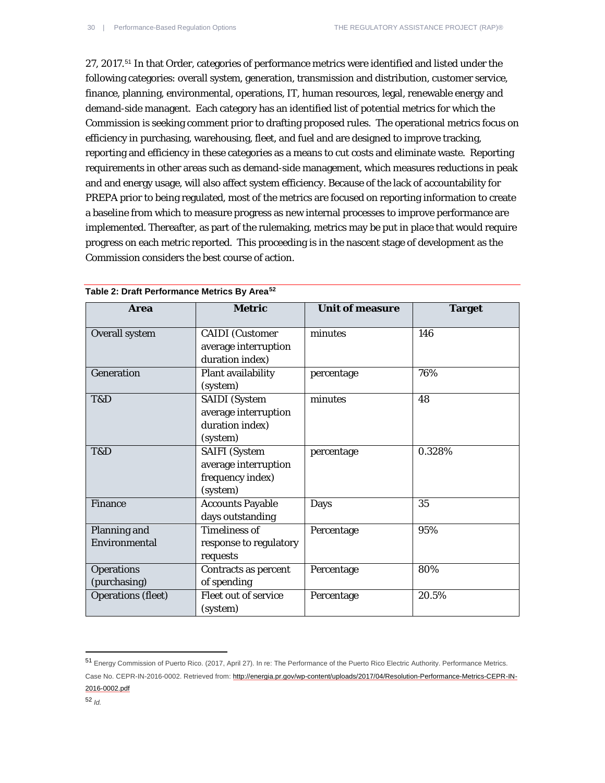27, 2017.[51](#page-29-0) In that Order, categories of performance metrics were identified and listed under the following categories: overall system, generation, transmission and distribution, customer service, finance, planning, environmental, operations, IT, human resources, legal, renewable energy and demand-side managent. Each category has an identified list of potential metrics for which the Commission is seeking comment prior to drafting proposed rules. The operational metrics focus on efficiency in purchasing, warehousing, fleet, and fuel and are designed to improve tracking, reporting and efficiency in these categories as a means to cut costs and eliminate waste. Reporting requirements in other areas such as demand-side management, which measures reductions in peak and and energy usage, will also affect system efficiency. Because of the lack of accountability for PREPA prior to being regulated, most of the metrics are focused on reporting information to create a baseline from which to measure progress as new internal processes to improve performance are implemented. Thereafter, as part of the rulemaking, metrics may be put in place that would require progress on each metric reported. This proceeding is in the nascent stage of development as the Commission considers the best course of action.

| <b>Area</b>                       | <b>Metric</b>                                                                | <b>Unit of measure</b> | <b>Target</b> |
|-----------------------------------|------------------------------------------------------------------------------|------------------------|---------------|
| <b>Overall system</b>             | <b>CAIDI</b> (Customer<br>average interruption<br>duration index)            | minutes                | 146           |
| <b>Generation</b>                 | Plant availability<br>(system)                                               | percentage             | 76%           |
| T&D                               | <b>SAIDI</b> (System<br>average interruption<br>duration index)<br>(system)  | minutes                | 48            |
| T&D                               | <b>SAIFI</b> (System<br>average interruption<br>frequency index)<br>(system) | percentage             | 0.328%        |
| <b>Finance</b>                    | <b>Accounts Payable</b><br>days outstanding                                  | Days                   | 35            |
| Planning and<br>Environmental     | <b>Timeliness of</b><br>response to regulatory<br>requests                   | Percentage             | 95%           |
| <b>Operations</b><br>(purchasing) | Contracts as percent<br>of spending                                          | Percentage             | 80%           |
| <b>Operations (fleet)</b>         | Fleet out of service<br>(system)                                             | Percentage             | 20.5%         |

**Table 2: Draft Performance Metrics By Area[52](#page-29-1)**

<span id="page-29-1"></span><span id="page-29-0"></span><sup>51</sup> Energy Commission of Puerto Rico. (2017, April 27). In re: The Performance of the Puerto Rico Electric Authority. Performance Metrics. Case No. CEPR-IN-2016-0002. Retrieved from: [http://energia.pr.gov/wp-content/uploads/2017/04/Resolution-Performance-Metrics-CEPR-IN-](http://energia.pr.gov/wp-content/uploads/2017/04/Resolution-Performance-Metrics-CEPR-IN-2016-0002.pdf)[2016-0002.pdf](http://energia.pr.gov/wp-content/uploads/2017/04/Resolution-Performance-Metrics-CEPR-IN-2016-0002.pdf)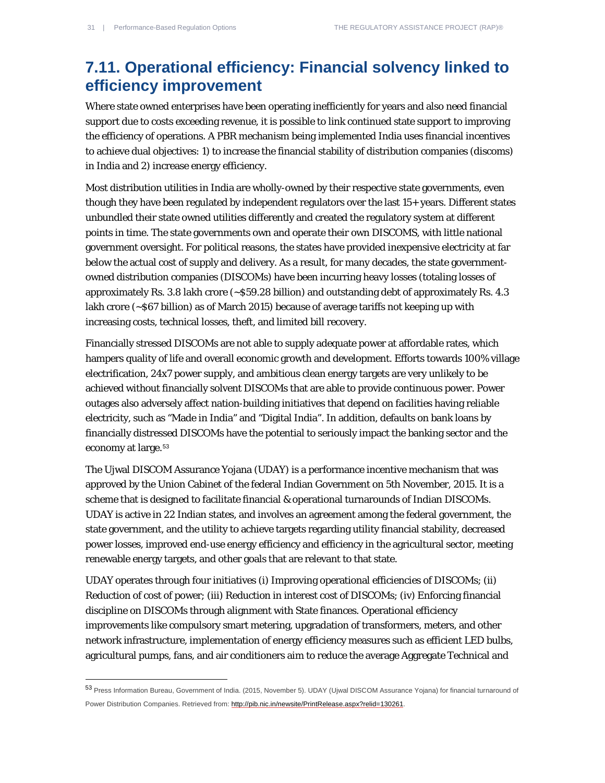$\overline{a}$ 

### **7.11. Operational efficiency: Financial solvency linked to efficiency improvement**

Where state owned enterprises have been operating inefficiently for years and also need financial support due to costs exceeding revenue, it is possible to link continued state support to improving the efficiency of operations. A PBR mechanism being implemented India uses financial incentives to achieve dual objectives: 1) to increase the financial stability of distribution companies (discoms) in India and 2) increase energy efficiency.

Most distribution utilities in India are wholly-owned by their respective state governments, even though they have been regulated by independent regulators over the last 15+ years. Different states unbundled their state owned utilities differently and created the regulatory system at different points in time. The state governments own and operate their own DISCOMS, with little national government oversight. For political reasons, the states have provided inexpensive electricity at far below the actual cost of supply and delivery. As a result, for many decades, the state governmentowned distribution companies (DISCOMs) have been incurring heavy losses (totaling losses of approximately Rs. 3.8 lakh crore (~\$59.28 billion) and outstanding debt of approximately Rs. 4.3 lakh crore (~\$67 billion) as of March 2015) because of average tariffs not keeping up with increasing costs, technical losses, theft, and limited bill recovery.

Financially stressed DISCOMs are not able to supply adequate power at affordable rates, which hampers quality of life and overall economic growth and development. Efforts towards 100% village electrification, 24x7 power supply, and ambitious clean energy targets are very unlikely to be achieved without financially solvent DISCOMs that are able to provide continuous power. Power outages also adversely affect nation-building initiatives that depend on facilities having reliable electricity, such as "Made in India" and "Digital India". In addition, defaults on bank loans by financially distressed DISCOMs have the potential to seriously impact the banking sector and the economy at large.<sup>[53](#page-30-0)</sup>

The Ujwal DISCOM Assurance Yojana (UDAY) is a performance incentive mechanism that was approved by the Union Cabinet of the federal Indian Government on 5th November, 2015. It is a scheme that is designed to facilitate financial & operational turnarounds of Indian DISCOMs. UDAY is active in 22 Indian states, and involves an agreement among the federal government, the state government, and the utility to achieve targets regarding utility financial stability, decreased power losses, improved end-use energy efficiency and efficiency in the agricultural sector, meeting renewable energy targets, and other goals that are relevant to that state.

UDAY operates through four initiatives (i) Improving operational efficiencies of DISCOMs; (ii) Reduction of cost of power; (iii) Reduction in interest cost of DISCOMs; (iv) Enforcing financial discipline on DISCOMs through alignment with State finances. Operational efficiency improvements like compulsory smart metering, upgradation of transformers, meters, and other network infrastructure, implementation of energy efficiency measures such as efficient LED bulbs, agricultural pumps, fans, and air conditioners aim to reduce the average Aggregate Technical and

<span id="page-30-0"></span><sup>53</sup> Press Information Bureau, Government of India. (2015, November 5). UDAY (Ujwal DISCOM Assurance Yojana) for financial turnaround of Power Distribution Companies. Retrieved from[: http://pib.nic.in/newsite/PrintRelease.aspx?relid=130261.](http://pib.nic.in/newsite/PrintRelease.aspx?relid=130261)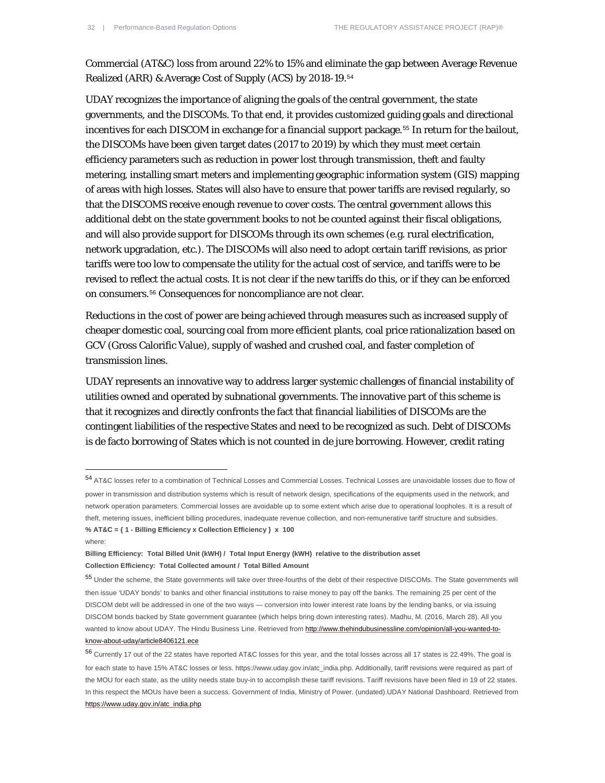Commercial (AT&C) loss from around 22% to 15% and eliminate the gap between Average Revenue Realized (ARR) & Average Cost of Supply (ACS) by 2018-19.[54](#page-31-0)

UDAY recognizes the importance of aligning the goals of the central government, the state governments, and the DISCOMs. To that end, it provides customized guiding goals and directional incentives for each DISCOM in exchange for a financial support package.<sup>[55](#page-31-1)</sup> In return for the bailout, the DISCOMs have been given target dates (2017 to 2019) by which they must meet certain efficiency parameters such as reduction in power lost through transmission, theft and faulty metering, installing smart meters and implementing geographic information system (GIS) mapping of areas with high losses. States will also have to ensure that power tariffs are revised regularly, so that the DISCOMS receive enough revenue to cover costs. The central government allows this additional debt on the state government books to not be counted against their fiscal obligations, and will also provide support for DISCOMs through its own schemes (e.g. rural electrification, network upgradation, etc.). The DISCOMs will also need to adopt certain tariff revisions, as prior tariffs were too low to compensate the utility for the actual cost of service, and tariffs were to be revised to reflect the actual costs. It is not clear if the new tariffs do this, or if they can be enforced on consumers.[56](#page-31-2) Consequences for noncompliance are not clear.

Reductions in the cost of power are being achieved through measures such as increased supply of cheaper domestic coal, sourcing coal from more efficient plants, coal price rationalization based on GCV (Gross Calorific Value), supply of washed and crushed coal, and faster completion of transmission lines.

UDAY represents an innovative way to address larger systemic challenges of financial instability of utilities owned and operated by subnational governments. The innovative part of this scheme is that it recognizes and directly confronts the fact that financial liabilities of DISCOMs are the contingent liabilities of the respective States and need to be recognized as such. Debt of DISCOMs is de facto borrowing of States which is not counted in de jure borrowing. However, credit rating

where:

 $\overline{a}$ 

<span id="page-31-0"></span><sup>54</sup> AT&C losses refer to a combination of Technical Losses and Commercial Losses. Technical Losses are unavoidable losses due to flow of power in transmission and distribution systems which is result of network design, specifications of the equipments used in the network, and network operation parameters. Commercial losses are avoidable up to some extent which arise due to operational loopholes. It is a result of theft, metering issues, inefficient billing procedures, inadequate revenue collection, and non-remunerative tariff structure and subsidies. **% AT&C = { 1 - Billing Efficiency x Collection Efficiency } x 100**

**Billing Efficiency: Total Billed Unit (kWH) / Total Input Energy (kWH) relative to the distribution asset Collection Efficiency: Total Collected amount / Total Billed Amount**

<span id="page-31-1"></span><sup>55</sup> Under the scheme, the State governments will take over three-fourths of the debt of their respective DISCOMs. The State governments will then issue 'UDAY bonds' to banks and other financial institutions to raise money to pay off the banks. The remaining 25 per cent of the DISCOM debt will be addressed in one of the two ways — conversion into lower interest rate loans by the lending banks, or via issuing DISCOM bonds backed by State government guarantee (which helps bring down interesting rates). Madhu, M. (2016, March 28). All you wanted to know about UDAY. The Hindu Business Line. Retrieved fro[m http://www.thehindubusinessline.com/opinion/all-you-wanted-to](http://www.thehindubusinessline.com/opinion/all-you-wanted-to-know-about-uday/article8406121.ece)[know-about-uday/article8406121.ece](http://www.thehindubusinessline.com/opinion/all-you-wanted-to-know-about-uday/article8406121.ece) 

<span id="page-31-2"></span><sup>56</sup> Currently 17 out of the 22 states have reported AT&C losses for this year, and the total losses across all 17 states is 22.49%. The goal is for each state to have 15% AT&C losses or less. https://www.uday.gov.in/atc\_india.php. Additionally, tariff revisions were required as part of the MOU for each state, as the utility needs state buy-in to accomplish these tariff revisions. Tariff revisions have been filed in 19 of 22 states. In this respect the MOUs have been a success. Government of India, Ministry of Power. (undated).UDAY National Dashboard. Retrieved from [https://www.uday.gov.in/atc\\_india.php](https://www.uday.gov.in/atc_india.php)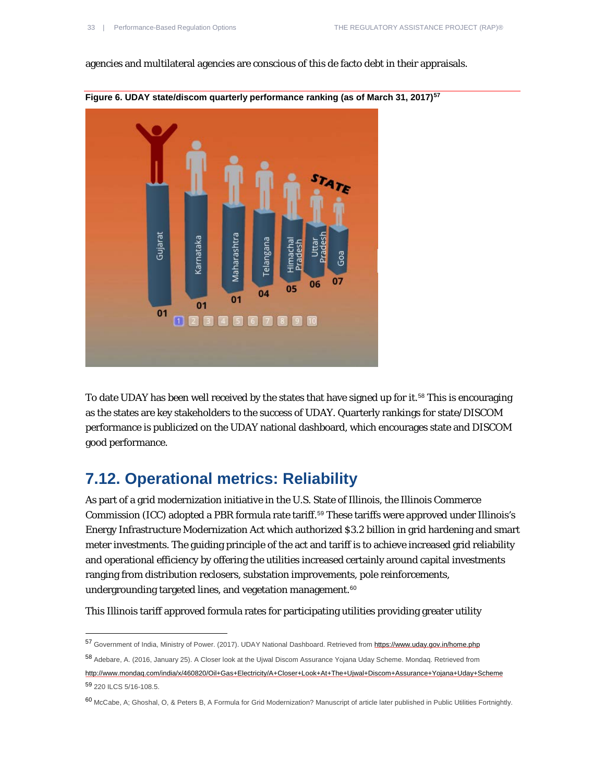agencies and multilateral agencies are conscious of this de facto debt in their appraisals.



**Figure 6. UDAY state/discom quarterly performance ranking (as of March 31, 2017)[57](#page-32-0)**

To date UDAY has been well received by the states that have signed up for it.<sup>[58](#page-32-1)</sup> This is encouraging as the states are key stakeholders to the success of UDAY. Quarterly rankings for state/DISCOM performance is publicized on the UDAY national dashboard, which encourages state and DISCOM good performance.

#### **7.12. Operational metrics: Reliability**

1

As part of a grid modernization initiative in the U.S. State of Illinois, the Illinois Commerce Commission (ICC) adopted a PBR formula rate tariff.[59](#page-32-2) These tariffs were approved under Illinois's Energy Infrastructure Modernization Act which authorized \$3.2 billion in grid hardening and smart meter investments. The guiding principle of the act and tariff is to achieve increased grid reliability and operational efficiency by offering the utilities increased certainly around capital investments ranging from distribution reclosers, substation improvements, pole reinforcements, undergrounding targeted lines, and vegetation management.<sup>[60](#page-32-3)</sup>

This Illinois tariff approved formula rates for participating utilities providing greater utility

<span id="page-32-0"></span><sup>57</sup> Government of India, Ministry of Power. (2017). UDAY National Dashboard. Retrieved from<https://www.uday.gov.in/home.php>

<span id="page-32-1"></span><sup>58</sup> Adebare, A. (2016, January 25). A Closer look at the Ujwal Discom Assurance Yojana Uday Scheme. Mondaq. Retrieved from <http://www.mondaq.com/india/x/460820/Oil+Gas+Electricity/A+Closer+Look+At+The+Ujwal+Discom+Assurance+Yojana+Uday+Scheme> <sup>59</sup> 220 ILCS 5/16-108.5.

<span id="page-32-3"></span><span id="page-32-2"></span><sup>60</sup> McCabe, A; Ghoshal, O, & Peters B, A Formula for Grid Modernization? Manuscript of article later published in Public Utilities Fortnightly.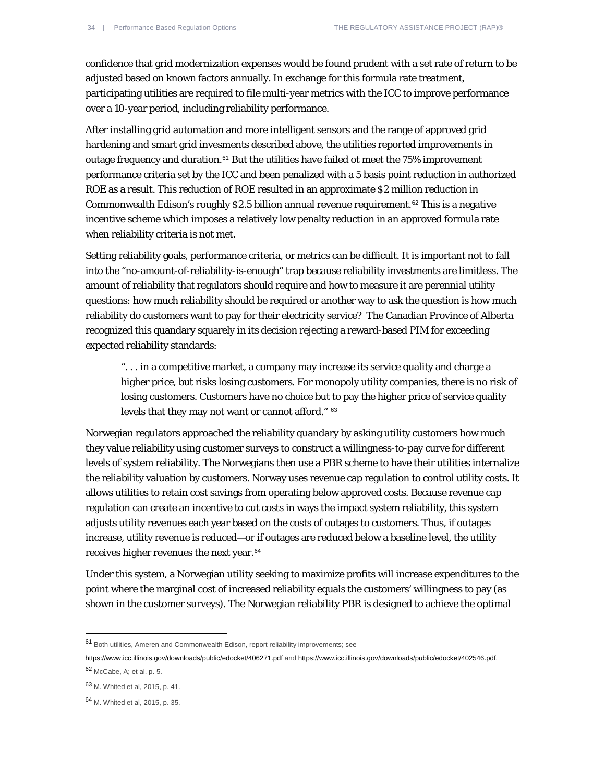confidence that grid modernization expenses would be found prudent with a set rate of return to be adjusted based on known factors annually. In exchange for this formula rate treatment, participating utilities are required to file multi-year metrics with the ICC to improve performance over a 10-year period, including reliability performance.

After installing grid automation and more intelligent sensors and the range of approved grid hardening and smart grid invesments described above, the utilities reported improvements in outage frequency and duration.<sup>[61](#page-33-0)</sup> But the utilities have failed ot meet the 75% improvement performance criteria set by the ICC and been penalized with a 5 basis point reduction in authorized ROE as a result. This reduction of ROE resulted in an approximate \$2 million reduction in Commonwealth Edison's roughly \$2.5 billion annual revenue requirement.<sup>[62](#page-33-1)</sup> This is a negative incentive scheme which imposes a relatively low penalty reduction in an approved formula rate when reliability criteria is not met.

Setting reliability goals, performance criteria, or metrics can be difficult. It is important not to fall into the "no-amount-of-reliability-is-enough" trap because reliability investments are limitless. The amount of reliability that regulators should require and how to measure it are perennial utility questions: how much reliability should be required or another way to ask the question is how much reliability do customers want to pay for their electricity service? The Canadian Province of Alberta recognized this quandary squarely in its decision rejecting a reward-based PIM for exceeding expected reliability standards:

". . . in a competitive market, a company may increase its service quality and charge a higher price, but risks losing customers. For monopoly utility companies, there is no risk of losing customers. Customers have no choice but to pay the higher price of service quality levels that they may not want or cannot afford." [63](#page-33-2)

Norwegian regulators approached the reliability quandary by asking utility customers how much they value reliability using customer surveys to construct a willingness-to-pay curve for different levels of system reliability. The Norwegians then use a PBR scheme to have their utilities internalize the reliability valuation by customers. Norway uses revenue cap regulation to control utility costs. It allows utilities to retain cost savings from operating below approved costs. Because revenue cap regulation can create an incentive to cut costs in ways the impact system reliability, this system adjusts utility revenues each year based on the costs of outages to customers. Thus, if outages increase, utility revenue is reduced—or if outages are reduced below a baseline level, the utility receives higher revenues the next year.<sup>[64](#page-33-3)</sup>

Under this system, a Norwegian utility seeking to maximize profits will increase expenditures to the point where the marginal cost of increased reliability equals the customers' willingness to pay (as shown in the customer surveys). The Norwegian reliability PBR is designed to achieve the optimal

<span id="page-33-0"></span><sup>61</sup> Both utilities, Ameren and Commonwealth Edison, report reliability improvements; see

<https://www.icc.illinois.gov/downloads/public/edocket/406271.pdf> and [https://www.icc.illinois.gov/downloads/public/edocket/402546.pdf.](https://www.icc.illinois.gov/downloads/public/edocket/402546.pdf)  <sup>62</sup> McCabe, A; et al, p. 5.

<span id="page-33-1"></span>

<span id="page-33-2"></span><sup>63</sup> M. Whited et al, 2015, p. 41.

<span id="page-33-3"></span><sup>64</sup> M. Whited et al, 2015, p. 35.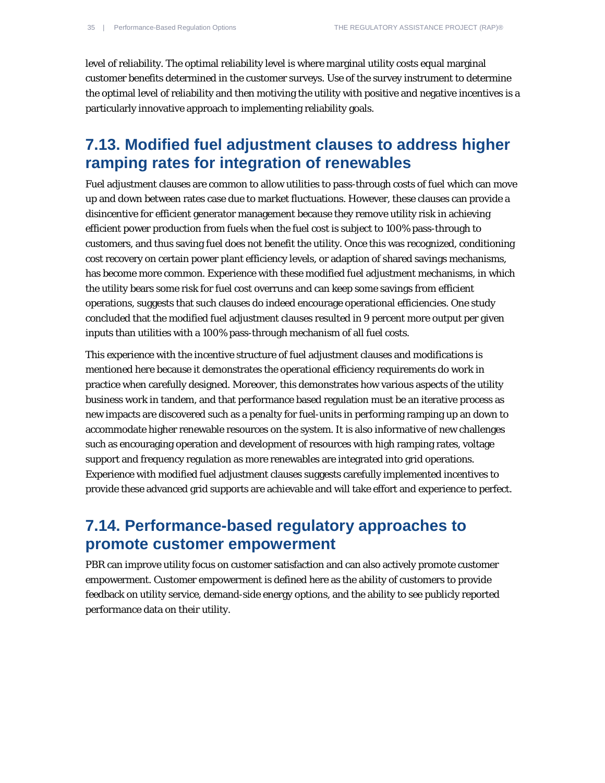level of reliability. The optimal reliability level is where marginal utility costs equal marginal customer benefits determined in the customer surveys. Use of the survey instrument to determine the optimal level of reliability and then motiving the utility with positive and negative incentives is a particularly innovative approach to implementing reliability goals.

#### **7.13. Modified fuel adjustment clauses to address higher ramping rates for integration of renewables**

Fuel adjustment clauses are common to allow utilities to pass-through costs of fuel which can move up and down between rates case due to market fluctuations. However, these clauses can provide a disincentive for efficient generator management because they remove utility risk in achieving efficient power production from fuels when the fuel cost is subject to 100% pass-through to customers, and thus saving fuel does not benefit the utility. Once this was recognized, conditioning cost recovery on certain power plant efficiency levels, or adaption of shared savings mechanisms, has become more common. Experience with these modified fuel adjustment mechanisms, in which the utility bears some risk for fuel cost overruns and can keep some savings from efficient operations, suggests that such clauses do indeed encourage operational efficiencies. One study concluded that the modified fuel adjustment clauses resulted in 9 percent more output per given inputs than utilities with a 100% pass-through mechanism of all fuel costs.

This experience with the incentive structure of fuel adjustment clauses and modifications is mentioned here because it demonstrates the operational efficiency requirements do work in practice when carefully designed. Moreover, this demonstrates how various aspects of the utility business work in tandem, and that performance based regulation must be an iterative process as new impacts are discovered such as a penalty for fuel-units in performing ramping up an down to accommodate higher renewable resources on the system. It is also informative of new challenges such as encouraging operation and development of resources with high ramping rates, voltage support and frequency regulation as more renewables are integrated into grid operations. Experience with modified fuel adjustment clauses suggests carefully implemented incentives to provide these advanced grid supports are achievable and will take effort and experience to perfect.

### **7.14. Performance-based regulatory approaches to promote customer empowerment**

PBR can improve utility focus on customer satisfaction and can also actively promote customer empowerment. Customer empowerment is defined here as the ability of customers to provide feedback on utility service, demand-side energy options, and the ability to see publicly reported performance data on their utility.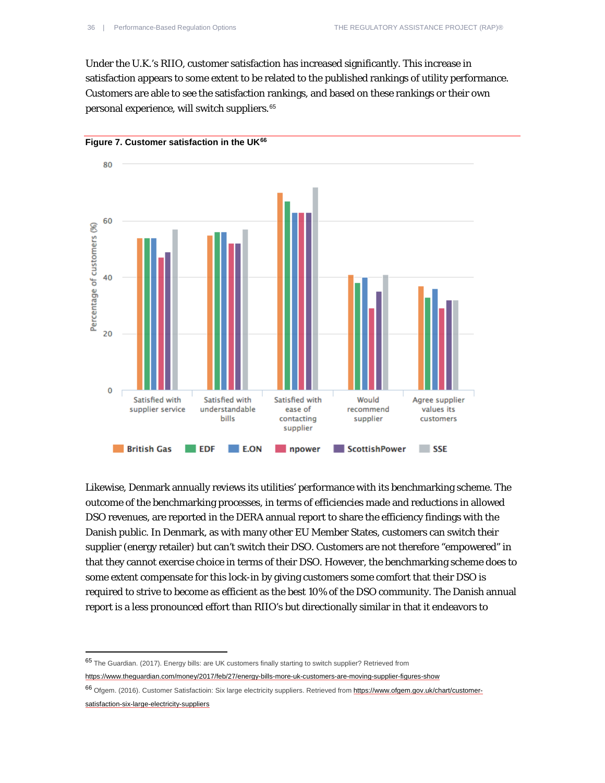Under the U.K.'s RIIO, customer satisfaction has increased significantly. This increase in satisfaction appears to some extent to be related to the published rankings of utility performance. Customers are able to see the satisfaction rankings, and based on these rankings or their own personal experience, will switch suppliers.[65](#page-35-0)



**Figure 7. Customer satisfaction in the UK[66](#page-35-1)**

Likewise, Denmark annually reviews its utilities' performance with its benchmarking scheme. The outcome of the benchmarking processes, in terms of efficiencies made and reductions in allowed DSO revenues, are reported in the DERA annual report to share the efficiency findings with the Danish public. In Denmark, as with many other EU Member States, customers can switch their supplier (energy retailer) but can't switch their DSO. Customers are not therefore "empowered" in that they cannot exercise choice in terms of their DSO. However, the benchmarking scheme does to some extent compensate for this lock-in by giving customers some comfort that their DSO is required to strive to become as efficient as the best 10% of the DSO community. The Danish annual report is a less pronounced effort than RIIO's but directionally similar in that it endeavors to

<span id="page-35-0"></span><sup>65</sup> The Guardian. (2017). Energy bills: are UK customers finally starting to switch supplier? Retrieved from <https://www.theguardian.com/money/2017/feb/27/energy-bills-more-uk-customers-are-moving-supplier-figures-show>

<span id="page-35-1"></span><sup>66</sup> Ofgem. (2016). Customer Satisfactioin: Six large electricity suppliers. Retrieved from [https://www.ofgem.gov.uk/chart/customer](https://www.ofgem.gov.uk/chart/customer-satisfaction-six-large-electricity-suppliers)[satisfaction-six-large-electricity-suppliers](https://www.ofgem.gov.uk/chart/customer-satisfaction-six-large-electricity-suppliers)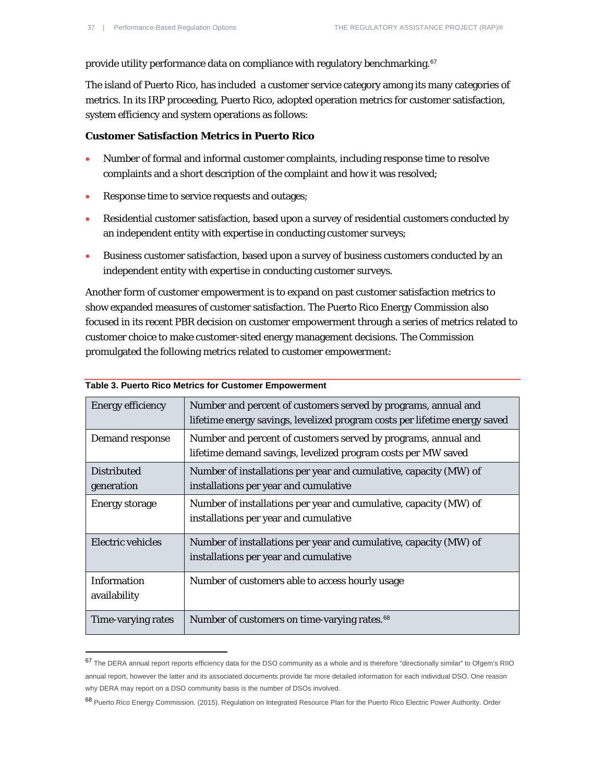provide utility performance data on compliance with regulatory benchmarking.<sup>[67](#page-36-0)</sup>

The island of Puerto Rico, has included a customer service category among its many categories of metrics. In its IRP proceeding, Puerto Rico, adopted operation metrics for customer satisfaction, system efficiency and system operations as follows:

#### **Customer Satisfaction Metrics in Puerto Rico**

- Number of formal and informal customer complaints, including response time to resolve complaints and a short description of the complaint and how it was resolved;
- Response time to service requests and outages;
- Residential customer satisfaction, based upon a survey of residential customers conducted by an independent entity with expertise in conducting customer surveys;
- Business customer satisfaction, based upon a survey of business customers conducted by an independent entity with expertise in conducting customer surveys.

Another form of customer empowerment is to expand on past customer satisfaction metrics to show expanded measures of customer satisfaction. The Puerto Rico Energy Commission also focused in its recent PBR decision on customer empowerment through a series of metrics related to customer choice to make customer-sited energy management decisions. The Commission promulgated the following metrics related to customer empowerment:

| <b>Energy efficiency</b>           | Number and percent of customers served by programs, annual and<br>lifetime energy savings, levelized program costs per lifetime energy saved |
|------------------------------------|----------------------------------------------------------------------------------------------------------------------------------------------|
| Demand response                    | Number and percent of customers served by programs, annual and<br>lifetime demand savings, levelized program costs per MW saved              |
| <b>Distributed</b><br>generation   | Number of installations per year and cumulative, capacity (MW) of<br>installations per year and cumulative                                   |
| <b>Energy storage</b>              | Number of installations per year and cumulative, capacity (MW) of<br>installations per year and cumulative                                   |
| Electric vehicles                  | Number of installations per year and cumulative, capacity (MW) of<br>installations per year and cumulative                                   |
| <b>Information</b><br>availability | Number of customers able to access hourly usage                                                                                              |
| Time-varying rates                 | Number of customers on time-varying rates. <sup>68</sup>                                                                                     |

#### **Table 3. Puerto Rico Metrics for Customer Empowerment**

<span id="page-36-0"></span><sup>67</sup> The DERA annual report reports efficiency data for the DSO community as a whole and is therefore "directionally similar" to Ofgem's RIIO annual report, however the latter and its associated documents provide far more detailed information for each individual DSO. One reason why DERA may report on a DSO community basis is the number of DSOs involved.

<span id="page-36-1"></span><sup>68</sup> Puerto Rico Energy Commission. (2015). Regulation on Integrated Resource Plan for the Puerto Rico Electric Power Authority. Order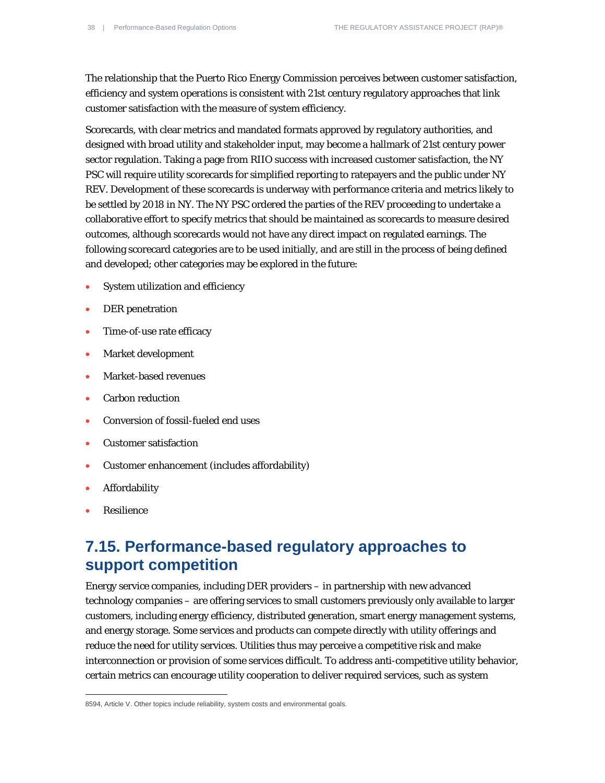The relationship that the Puerto Rico Energy Commission perceives between customer satisfaction, efficiency and system operations is consistent with 21st century regulatory approaches that link customer satisfaction with the measure of system efficiency.

Scorecards, with clear metrics and mandated formats approved by regulatory authorities, and designed with broad utility and stakeholder input, may become a hallmark of 21st century power sector regulation. Taking a page from RIIO success with increased customer satisfaction, the NY PSC will require utility scorecards for simplified reporting to ratepayers and the public under NY REV. Development of these scorecards is underway with performance criteria and metrics likely to be settled by 2018 in NY. The NY PSC ordered the parties of the REV proceeding to undertake a collaborative effort to specify metrics that should be maintained as scorecards to measure desired outcomes, although scorecards would not have any direct impact on regulated earnings. The following scorecard categories are to be used initially, and are still in the process of being defined and developed; other categories may be explored in the future:

- System utilization and efficiency
- DER penetration
- Time-of-use rate efficacy
- Market development
- Market-based revenues
- Carbon reduction
- Conversion of fossil-fueled end uses
- Customer satisfaction
- Customer enhancement (includes affordability)
- **Affordability**
- Resilience

 $\overline{a}$ 

#### **7.15. Performance-based regulatory approaches to support competition**

Energy service companies, including DER providers – in partnership with new advanced technology companies – are offering services to small customers previously only available to larger customers, including energy efficiency, distributed generation, smart energy management systems, and energy storage. Some services and products can compete directly with utility offerings and reduce the need for utility services. Utilities thus may perceive a competitive risk and make interconnection or provision of some services difficult. To address anti-competitive utility behavior, certain metrics can encourage utility cooperation to deliver required services, such as system

<sup>8594,</sup> Article V. Other topics include reliability, system costs and environmental goals.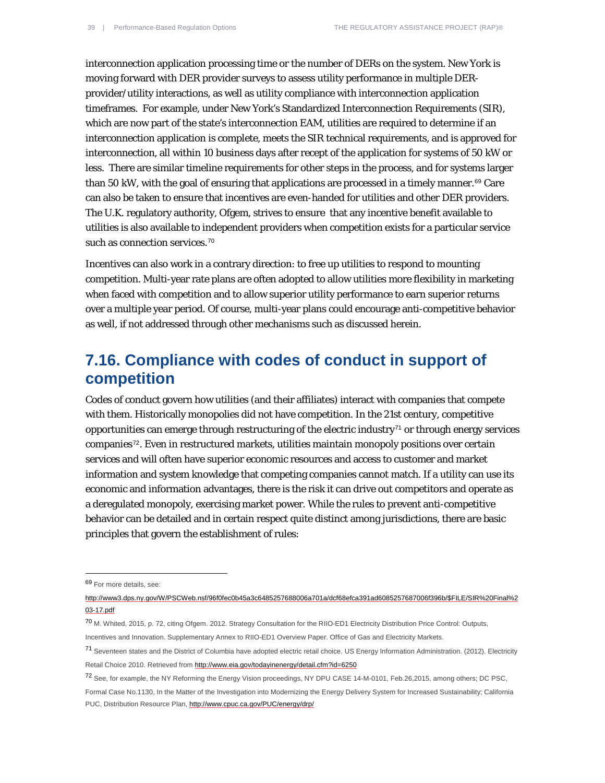interconnection application processing time or the number of DERs on the system. New York is moving forward with DER provider surveys to assess utility performance in multiple DERprovider/utility interactions, as well as utility compliance with interconnection application timeframes. For example, under New York's Standardized Interconnection Requirements (SIR), which are now part of the state's interconnection EAM, utilities are required to determine if an interconnection application is complete, meets the SIR technical requirements, and is approved for interconnection, all within 10 business days after recept of the application for systems of 50 kW or less. There are similar timeline requirements for other steps in the process, and for systems larger than 50 kW, with the goal of ensuring that applications are processed in a timely manner.<sup>[69](#page-38-0)</sup> Care can also be taken to ensure that incentives are even-handed for utilities and other DER providers. The U.K. regulatory authority, Ofgem, strives to ensure that any incentive benefit available to utilities is also available to independent providers when competition exists for a particular service such as connection services.<sup>[70](#page-38-1)</sup>

Incentives can also work in a contrary direction: to free up utilities to respond to mounting competition. Multi-year rate plans are often adopted to allow utilities more flexibility in marketing when faced with competition and to allow superior utility performance to earn superior returns over a multiple year period. Of course, multi-year plans could encourage anti-competitive behavior as well, if not addressed through other mechanisms such as discussed herein.

#### **7.16. Compliance with codes of conduct in support of competition**

Codes of conduct govern how utilities (and their affiliates) interact with companies that compete with them. Historically monopolies did not have competition. In the 21st century, competitive opportunities can emerge through restructuring of the electric industry<sup>[71](#page-38-2)</sup> or through energy services companies[72](#page-38-3). Even in restructured markets, utilities maintain monopoly positions over certain services and will often have superior economic resources and access to customer and market information and system knowledge that competing companies cannot match. If a utility can use its economic and information advantages, there is the risk it can drive out competitors and operate as a deregulated monopoly, exercising market power. While the rules to prevent anti-competitive behavior can be detailed and in certain respect quite distinct among jurisdictions, there are basic principles that govern the establishment of rules:

<span id="page-38-0"></span><sup>69</sup> For more details, see:

[http://www3.dps.ny.gov/W/PSCWeb.nsf/96f0fec0b45a3c6485257688006a701a/dcf68efca391ad6085257687006f396b/\\$FILE/SIR%20Final%2](http://www3.dps.ny.gov/W/PSCWeb.nsf/96f0fec0b45a3c6485257688006a701a/dcf68efca391ad6085257687006f396b/$FILE/SIR%20Final%203-17.pdf) [03-17.pdf](http://www3.dps.ny.gov/W/PSCWeb.nsf/96f0fec0b45a3c6485257688006a701a/dcf68efca391ad6085257687006f396b/$FILE/SIR%20Final%203-17.pdf)

<span id="page-38-1"></span><sup>70</sup> M. Whited, 2015, p. 72, citing Ofgem. 2012. Strategy Consultation for the RIIO-ED1 Electricity Distribution Price Control: Outputs,

Incentives and Innovation. Supplementary Annex to RIIO-ED1 Overview Paper. Office of Gas and Electricity Markets.

<span id="page-38-2"></span><sup>71</sup> Seventeen states and the District of Columbia have adopted electric retail choice. US Energy Information Administration. (2012). Electricity Retail Choice 2010. Retrieved fro[m http://www.eia.gov/todayinenergy/detail.cfm?id=6250](http://www.eia.gov/todayinenergy/detail.cfm?id=6250)

<span id="page-38-3"></span><sup>72</sup> See, for example, the NY Reforming the Energy Vision proceedings, NY DPU CASE 14-M-0101, Feb.26,2015, among others; DC PSC,

Formal Case No.1130, In the Matter of the Investigation into Modernizing the Energy Delivery System for Increased Sustainability; California PUC, Distribution Resource Plan,<http://www.cpuc.ca.gov/PUC/energy/drp/>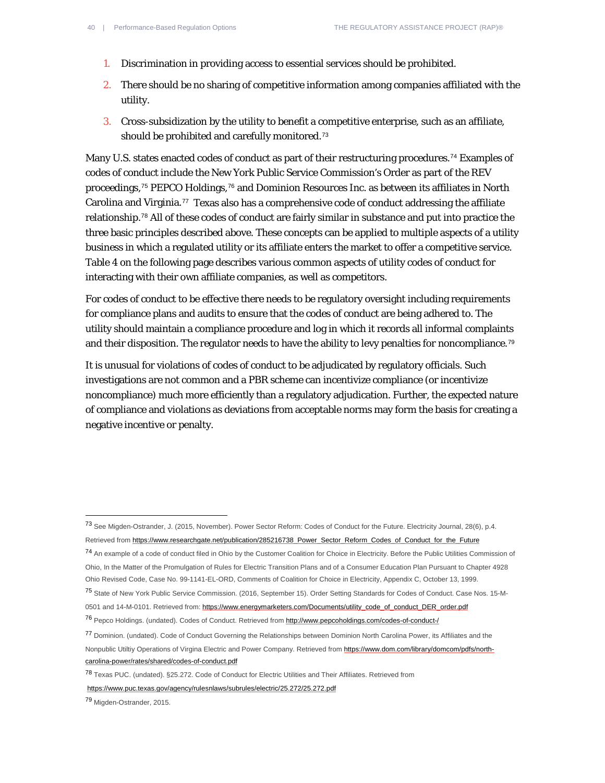- 1. Discrimination in providing access to essential services should be prohibited.
- 2. There should be no sharing of competitive information among companies affiliated with the utility.
- 3. Cross-subsidization by the utility to benefit a competitive enterprise, such as an affiliate, should be prohibited and carefully monitored.[73](#page-39-0)

Many U.S. states enacted codes of conduct as part of their restructuring procedures.<sup>[74](#page-39-1)</sup> Examples of codes of conduct include the New York Public Service Commission's Order as part of the REV proceedings,[75](#page-39-2) PEPCO Holdings,[76](#page-39-3) and Dominion Resources Inc. as between its affiliates in North Carolina and Virginia.<sup>[77](#page-39-4)</sup> Texas also has a comprehensive code of conduct addressing the affiliate relationship.[78](#page-39-5) All of these codes of conduct are fairly similar in substance and put into practice the three basic principles described above. These concepts can be applied to multiple aspects of a utility business in which a regulated utility or its affiliate enters the market to offer a competitive service. Table 4 on the following page describes various common aspects of utility codes of conduct for interacting with their own affiliate companies, as well as competitors.

For codes of conduct to be effective there needs to be regulatory oversight including requirements for compliance plans and audits to ensure that the codes of conduct are being adhered to. The utility should maintain a compliance procedure and log in which it records all informal complaints and their disposition. The regulator needs to have the ability to levy penalties for noncompliance.<sup>[79](#page-39-6)</sup>

It is unusual for violations of codes of conduct to be adjudicated by regulatory officials. Such investigations are not common and a PBR scheme can incentivize compliance (or incentivize noncompliance) much more efficiently than a regulatory adjudication. Further, the expected nature of compliance and violations as deviations from acceptable norms may form the basis for creating a negative incentive or penalty.

<span id="page-39-1"></span><sup>74</sup> An example of a code of conduct filed in Ohio by the Customer Coalition for Choice in Electricity. Before the Public Utilities Commission of Ohio, In the Matter of the Promulgation of Rules for Electric Transition Plans and of a Consumer Education Plan Pursuant to Chapter 4928 Ohio Revised Code, Case No. 99-1141-EL-ORD, Comments of Coalition for Choice in Electricity, Appendix C, October 13, 1999.

<https://www.puc.texas.gov/agency/rulesnlaws/subrules/electric/25.272/25.272.pdf>

<span id="page-39-0"></span><sup>73</sup> See Migden-Ostrander, J. (2015, November). Power Sector Reform: Codes of Conduct for the Future. Electricity Journal, 28(6), p.4. Retrieved fro[m https://www.researchgate.net/publication/285216738\\_Power\\_Sector\\_Reform\\_Codes\\_of\\_Conduct\\_for\\_the\\_Future](https://www.researchgate.net/publication/285216738_Power_Sector_Reform_Codes_of_Conduct_for_the_Future)

<span id="page-39-2"></span><sup>75</sup> State of New York Public Service Commission. (2016, September 15). Order Setting Standards for Codes of Conduct. Case Nos. 15-M-0501 and 14-M-0101. Retrieved from[: https://www.energymarketers.com/Documents/utility\\_code\\_of\\_conduct\\_DER\\_order.pdf](https://www.energymarketers.com/Documents/utility_code_of_conduct_DER_order.pdf)

<span id="page-39-3"></span><sup>76</sup> Pepco Holdings. (undated). Codes of Conduct. Retrieved fro[m http://www.pepcoholdings.com/codes-of-conduct-/](http://www.pepcoholdings.com/codes-of-conduct-/)

<span id="page-39-4"></span><sup>77</sup> Dominion. (undated). Code of Conduct Governing the Relationships between Dominion North Carolina Power, its Affiliates and the Nonpublic Utiltiy Operations of Virgina Electric and Power Company. Retrieved fro[m https://www.dom.com/library/domcom/pdfs/north](https://www.dom.com/library/domcom/pdfs/north-carolina-power/rates/shared/codes-of-conduct.pdf)[carolina-power/rates/shared/codes-of-conduct.pdf](https://www.dom.com/library/domcom/pdfs/north-carolina-power/rates/shared/codes-of-conduct.pdf)

<span id="page-39-5"></span><sup>78</sup> Texas PUC. (undated). §25.272. Code of Conduct for Electric Utilities and Their Affiliates. Retrieved from

<span id="page-39-6"></span><sup>79</sup> Migden-Ostrander, 2015.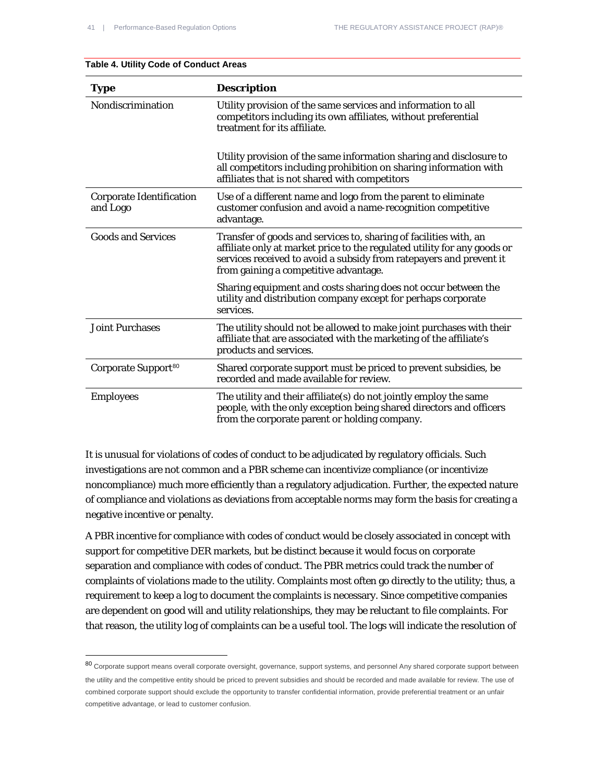| Type                                        | <b>Description</b>                                                                                                                                                                                                                                            |
|---------------------------------------------|---------------------------------------------------------------------------------------------------------------------------------------------------------------------------------------------------------------------------------------------------------------|
| Nondiscrimination                           | Utility provision of the same services and information to all<br>competitors including its own affiliates, without preferential<br>treatment for its affiliate.                                                                                               |
|                                             | Utility provision of the same information sharing and disclosure to<br>all competitors including prohibition on sharing information with<br>affiliates that is not shared with competitors                                                                    |
| <b>Corporate Identification</b><br>and Logo | Use of a different name and logo from the parent to eliminate<br>customer confusion and avoid a name-recognition competitive<br>advantage.                                                                                                                    |
| <b>Goods and Services</b>                   | Transfer of goods and services to, sharing of facilities with, an<br>affiliate only at market price to the regulated utility for any goods or<br>services received to avoid a subsidy from ratepayers and prevent it<br>from gaining a competitive advantage. |
|                                             | Sharing equipment and costs sharing does not occur between the<br>utility and distribution company except for perhaps corporate<br>services.                                                                                                                  |
| <b>Joint Purchases</b>                      | The utility should not be allowed to make joint purchases with their<br>affiliate that are associated with the marketing of the affiliate's<br>products and services.                                                                                         |
| Corporate Support <sup>80</sup>             | Shared corporate support must be priced to prevent subsidies, be<br>recorded and made available for review.                                                                                                                                                   |
| <b>Employees</b>                            | The utility and their affiliate(s) do not jointly employ the same<br>people, with the only exception being shared directors and officers<br>from the corporate parent or holding company.                                                                     |

#### **Table 4. Utility Code of Conduct Areas**

1

It is unusual for violations of codes of conduct to be adjudicated by regulatory officials. Such investigations are not common and a PBR scheme can incentivize compliance (or incentivize noncompliance) much more efficiently than a regulatory adjudication. Further, the expected nature of compliance and violations as deviations from acceptable norms may form the basis for creating a negative incentive or penalty.

A PBR incentive for compliance with codes of conduct would be closely associated in concept with support for competitive DER markets, but be distinct because it would focus on corporate separation and compliance with codes of conduct. The PBR metrics could track the number of complaints of violations made to the utility. Complaints most often go directly to the utility; thus, a requirement to keep a log to document the complaints is necessary. Since competitive companies are dependent on good will and utility relationships, they may be reluctant to file complaints. For that reason, the utility log of complaints can be a useful tool. The logs will indicate the resolution of

<span id="page-40-0"></span><sup>80</sup> Corporate support means overall corporate oversight, governance, support systems, and personnel Any shared corporate support between the utility and the competitive entity should be priced to prevent subsidies and should be recorded and made available for review. The use of combined corporate support should exclude the opportunity to transfer confidential information, provide preferential treatment or an unfair competitive advantage, or lead to customer confusion.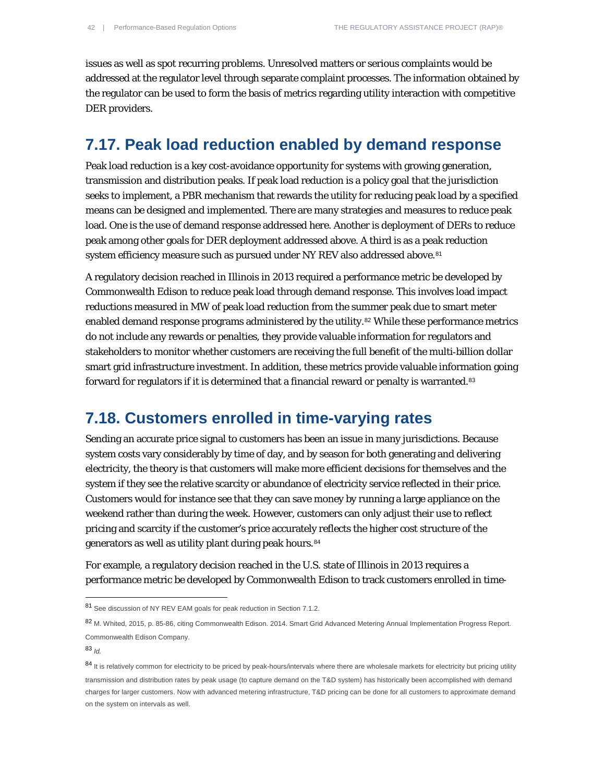issues as well as spot recurring problems. Unresolved matters or serious complaints would be addressed at the regulator level through separate complaint processes. The information obtained by the regulator can be used to form the basis of metrics regarding utility interaction with competitive DER providers.

#### **7.17. Peak load reduction enabled by demand response**

Peak load reduction is a key cost-avoidance opportunity for systems with growing generation, transmission and distribution peaks. If peak load reduction is a policy goal that the jurisdiction seeks to implement, a PBR mechanism that rewards the utility for reducing peak load by a specified means can be designed and implemented. There are many strategies and measures to reduce peak load. One is the use of demand response addressed here. Another is deployment of DERs to reduce peak among other goals for DER deployment addressed above. A third is as a peak reduction system efficiency measure such as pursued under NY REV also addressed above.<sup>[81](#page-41-0)</sup>

A regulatory decision reached in Illinois in 2013 required a performance metric be developed by Commonwealth Edison to reduce peak load through demand response. This involves load impact reductions measured in MW of peak load reduction from the summer peak due to smart meter enabled demand response programs administered by the utility.<sup>[82](#page-41-1)</sup> While these performance metrics do not include any rewards or penalties, they provide valuable information for regulators and stakeholders to monitor whether customers are receiving the full benefit of the multi-billion dollar smart grid infrastructure investment. In addition, these metrics provide valuable information going forward for regulators if it is determined that a financial reward or penalty is warranted.<sup>[83](#page-41-2)</sup>

#### **7.18. Customers enrolled in time-varying rates**

Sending an accurate price signal to customers has been an issue in many jurisdictions. Because system costs vary considerably by time of day, and by season for both generating and delivering electricity, the theory is that customers will make more efficient decisions for themselves and the system if they see the relative scarcity or abundance of electricity service reflected in their price. Customers would for instance see that they can save money by running a large appliance on the weekend rather than during the week. However, customers can only adjust their use to reflect pricing and scarcity if the customer's price accurately reflects the higher cost structure of the generators as well as utility plant during peak hours.<sup>[84](#page-41-3)</sup>

For example, a regulatory decision reached in the U.S. state of Illinois in 2013 requires a performance metric be developed by Commonwealth Edison to track customers enrolled in time-

 $\overline{a}$ 

<span id="page-41-0"></span><sup>81</sup> See discussion of NY REV EAM goals for peak reduction in Section 7.1.2.

<span id="page-41-1"></span><sup>82</sup> M. Whited, 2015, p. 85-86, citing Commonwealth Edison. 2014. Smart Grid Advanced Metering Annual Implementation Progress Report. Commonwealth Edison Company.

<span id="page-41-2"></span><sup>83</sup> *Id.*

<span id="page-41-3"></span><sup>84</sup> It is relatively common for electricity to be priced by peak-hours/intervals where there are wholesale markets for electricity but pricing utility transmission and distribution rates by peak usage (to capture demand on the T&D system) has historically been accomplished with demand charges for larger customers. Now with advanced metering infrastructure, T&D pricing can be done for all customers to approximate demand on the system on intervals as well.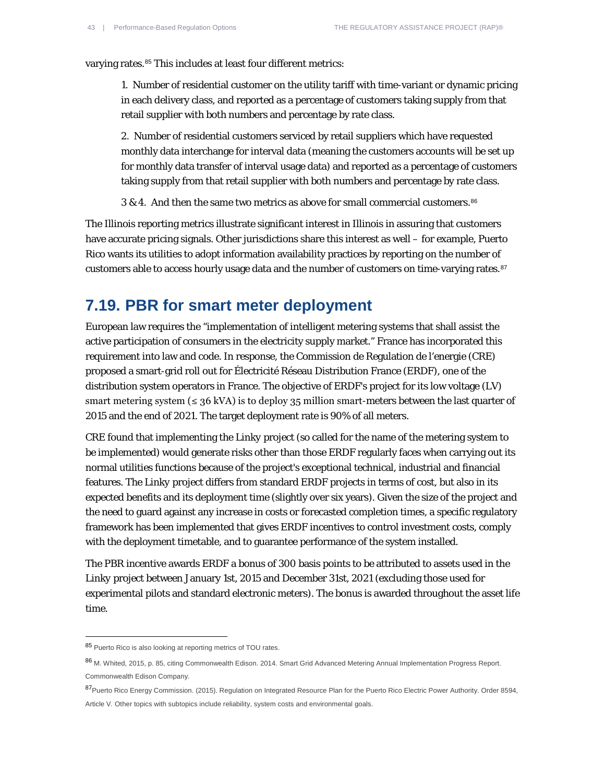varying rates.<sup>[85](#page-42-0)</sup> This includes at least four different metrics:

1. Number of residential customer on the utility tariff with time-variant or dynamic pricing in each delivery class, and reported as a percentage of customers taking supply from that retail supplier with both numbers and percentage by rate class.

2. Number of residential customers serviced by retail suppliers which have requested monthly data interchange for interval data (meaning the customers accounts will be set up for monthly data transfer of interval usage data) and reported as a percentage of customers taking supply from that retail supplier with both numbers and percentage by rate class.

3 & 4. And then the same two metrics as above for small commercial customers.<sup>[86](#page-42-1)</sup>

The Illinois reporting metrics illustrate significant interest in Illinois in assuring that customers have accurate pricing signals. Other jurisdictions share this interest as well – for example, Puerto Rico wants its utilities to adopt information availability practices by reporting on the number of customers able to access hourly usage data and the number of customers on time-varying rates.<sup>[87](#page-42-2)</sup>

#### **7.19. PBR for smart meter deployment**

European law requires the "implementation of intelligent metering systems that shall assist the active participation of consumers in the electricity supply market." France has incorporated this requirement into law and code. In response, the Commission de Regulation de l'energie (CRE) proposed a smart-grid roll out for Électricité Réseau Distribution France (ERDF), one of the distribution system operators in France. The objective of ERDF's project for its low voltage (LV) smart metering system ( $\leq$  36 kVA) is to deploy 35 million smart-meters between the last quarter of 2015 and the end of 2021. The target deployment rate is 90% of all meters.

CRE found that implementing the *Linky* project (so called for the name of the metering system to be implemented) would generate risks other than those ERDF regularly faces when carrying out its normal utilities functions because of the project's exceptional technical, industrial and financial features. The *Linky* project differs from standard ERDF projects in terms of cost, but also in its expected benefits and its deployment time (slightly over six years). Given the size of the project and the need to guard against any increase in costs or forecasted completion times, a specific regulatory framework has been implemented that gives ERDF incentives to control investment costs, comply with the deployment timetable, and to guarantee performance of the system installed.

The PBR incentive awards ERDF a bonus of 300 basis points to be attributed to assets used in the *Linky* project between January 1st, 2015 and December 31st, 2021 (excluding those used for experimental pilots and standard electronic meters). The bonus is awarded throughout the asset life time.

 $\overline{a}$ 

<span id="page-42-0"></span><sup>85</sup> Puerto Rico is also looking at reporting metrics of TOU rates.

<span id="page-42-1"></span><sup>86</sup> M. Whited, 2015, p. 85, citing Commonwealth Edison. 2014. Smart Grid Advanced Metering Annual Implementation Progress Report. Commonwealth Edison Company.

<span id="page-42-2"></span><sup>87</sup>Puerto Rico Energy Commission. (2015). Regulation on Integrated Resource Plan for the Puerto Rico Electric Power Authority. Order 8594, Article V*.* Other topics with subtopics include reliability, system costs and environmental goals.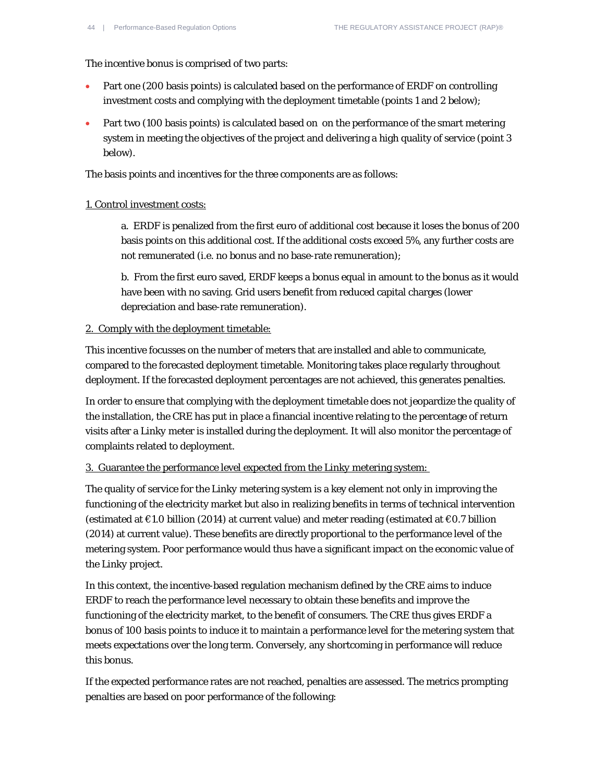The incentive bonus is comprised of two parts:

- Part one (200 basis points) is calculated based on the performance of ERDF on controlling investment costs and complying with the deployment timetable (points 1 and 2 below);
- Part two (100 basis points) is calculated based on on the performance of the smart metering system in meeting the objectives of the project and delivering a high quality of service (point 3 below).

The basis points and incentives for the three components are as follows:

#### 1. Control investment costs:

a. ERDF is penalized from the first euro of additional cost because it loses the bonus of 200 basis points on this additional cost. If the additional costs exceed 5%, any further costs are not remunerated (i.e. no bonus and no base-rate remuneration);

b. From the first euro saved, ERDF keeps a bonus equal in amount to the bonus as it would have been with no saving. Grid users benefit from reduced capital charges (lower depreciation and base-rate remuneration).

#### 2. Comply with the deployment timetable:

This incentive focusses on the number of meters that are installed and able to communicate, compared to the forecasted deployment timetable. Monitoring takes place regularly throughout deployment. If the forecasted deployment percentages are not achieved, this generates penalties.

In order to ensure that complying with the deployment timetable does not jeopardize the quality of the installation, the CRE has put in place a financial incentive relating to the percentage of return visits after a *Linky* meter is installed during the deployment. It will also monitor the percentage of complaints related to deployment.

#### 3. Guarantee the performance level expected from the *Linky* metering system:

The quality of service for the *Linky* metering system is a key element not only in improving the functioning of the electricity market but also in realizing benefits in terms of technical intervention (estimated at €1.0 billion (2014) at current value) and meter reading (estimated at €0.7 billion (2014) at current value). These benefits are directly proportional to the performance level of the metering system. Poor performance would thus have a significant impact on the economic value of the *Linky* project.

In this context, the incentive-based regulation mechanism defined by the CRE aims to induce ERDF to reach the performance level necessary to obtain these benefits and improve the functioning of the electricity market, to the benefit of consumers. The CRE thus gives ERDF a bonus of 100 basis points to induce it to maintain a performance level for the metering system that meets expectations over the long term. Conversely, any shortcoming in performance will reduce this bonus.

If the expected performance rates are not reached, penalties are assessed. The metrics prompting penalties are based on poor performance of the following: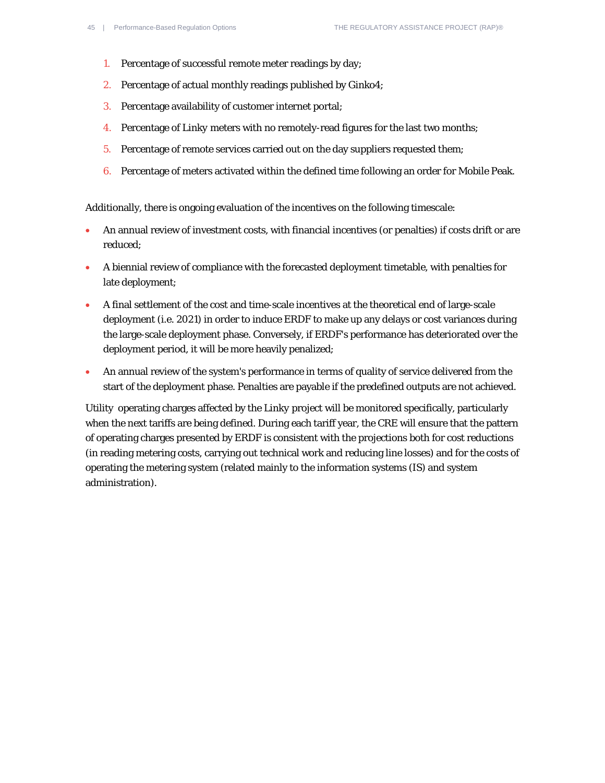- 1. Percentage of successful remote meter readings by day;
- 2. Percentage of actual monthly readings published by Ginko4;
- 3. Percentage availability of customer internet portal;
- 4. Percentage of *Linky* meters with no remotely-read figures for the last two months;
- 5. Percentage of remote services carried out on the day suppliers requested them;
- 6. Percentage of meters activated within the defined time following an order for Mobile Peak.

Additionally, there is ongoing evaluation of the incentives on the following timescale:

- An annual review of investment costs, with financial incentives (or penalties) if costs drift or are reduced;
- A biennial review of compliance with the forecasted deployment timetable, with penalties for late deployment;
- A final settlement of the cost and time-scale incentives at the theoretical end of large-scale deployment (i.e. 2021) in order to induce ERDF to make up any delays or cost variances during the large-scale deployment phase. Conversely, if ERDF's performance has deteriorated over the deployment period, it will be more heavily penalized;
- An annual review of the system's performance in terms of quality of service delivered from the start of the deployment phase. Penalties are payable if the predefined outputs are not achieved.

Utility operating charges affected by the *Linky* project will be monitored specifically, particularly when the next tariffs are being defined. During each tariff year, the CRE will ensure that the pattern of operating charges presented by ERDF is consistent with the projections both for cost reductions (in reading metering costs, carrying out technical work and reducing line losses) and for the costs of operating the metering system (related mainly to the information systems (IS) and system administration).